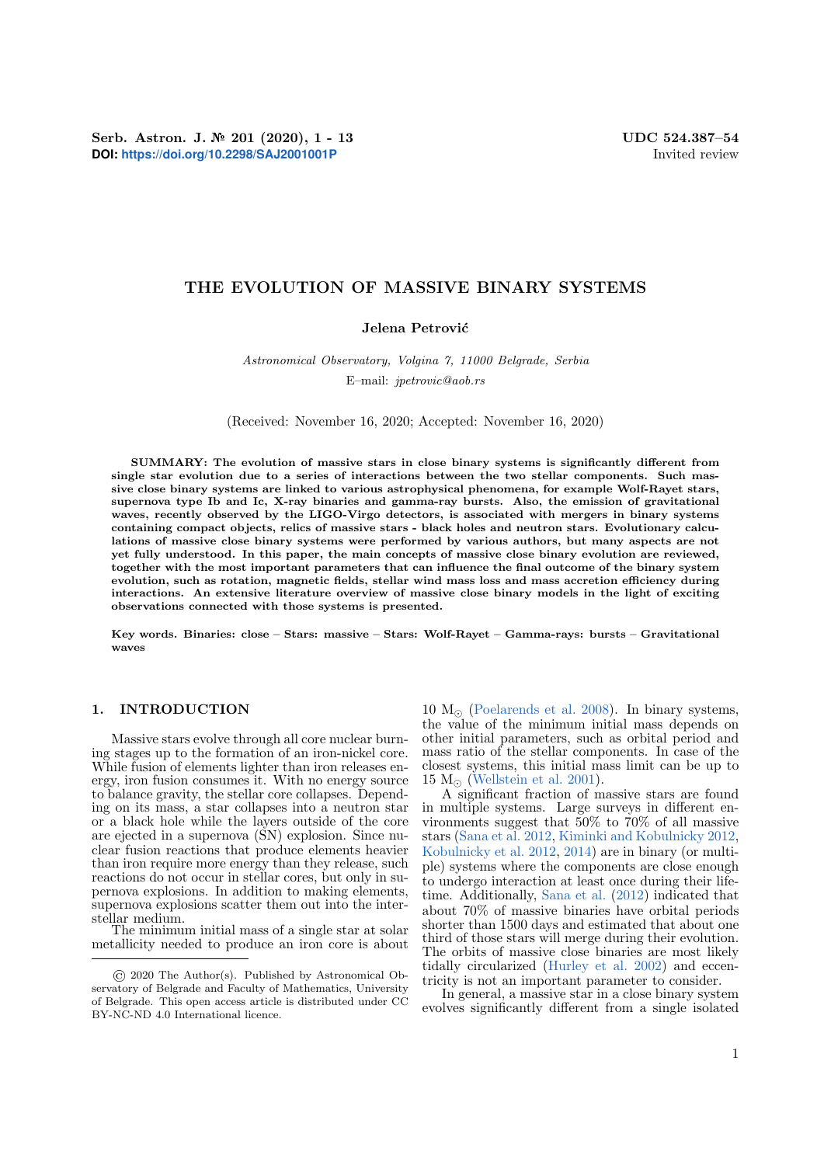Serb. Astron. J. № 201 (2020), 1 - 13 UDC 524.387-54 **DOI:** <https://doi.org/10.2298/SAJ2001001P> Invited review

# THE EVOLUTION OF MASSIVE BINARY SYSTEMS

## Jelena Petrović

## Astronomical Observatory, Volgina 7, 11000 Belgrade, Serbia E–mail: jpetrovic@aob.rs

(Received: November 16, 2020; Accepted: November 16, 2020)

SUMMARY: The evolution of massive stars in close binary systems is significantly different from single star evolution due to a series of interactions between the two stellar components. Such massive close binary systems are linked to various astrophysical phenomena, for example Wolf-Rayet stars, supernova type Ib and Ic, X-ray binaries and gamma-ray bursts. Also, the emission of gravitational waves, recently observed by the LIGO-Virgo detectors, is associated with mergers in binary systems containing compact objects, relics of massive stars - black holes and neutron stars. Evolutionary calculations of massive close binary systems were performed by various authors, but many aspects are not yet fully understood. In this paper, the main concepts of massive close binary evolution are reviewed, together with the most important parameters that can influence the final outcome of the binary system evolution, such as rotation, magnetic fields, stellar wind mass loss and mass accretion efficiency during interactions. An extensive literature overview of massive close binary models in the light of exciting observations connected with those systems is presented.

Key words. Binaries: close – Stars: massive – Stars: Wolf-Rayet – Gamma-rays: bursts – Gravitational waves

#### 1. INTRODUCTION

Massive stars evolve through all core nuclear burning stages up to the formation of an iron-nickel core. While fusion of elements lighter than iron releases energy, iron fusion consumes it. With no energy source to balance gravity, the stellar core collapses. Depending on its mass, a star collapses into a neutron star or a black hole while the layers outside of the core are ejected in a supernova (SN) explosion. Since nuclear fusion reactions that produce elements heavier than iron require more energy than they release, such reactions do not occur in stellar cores, but only in supernova explosions. In addition to making elements, supernova explosions scatter them out into the interstellar medium.

The minimum initial mass of a single star at solar metallicity needed to produce an iron core is about  $10 M_{\odot}$  [\(Poelarends et al.](#page-11-0) [2008\)](#page-11-0). In binary systems, the value of the minimum initial mass depends on other initial parameters, such as orbital period and mass ratio of the stellar components. In case of the closest systems, this initial mass limit can be up to  $15 M_{\odot}$  [\(Wellstein et al.](#page-11-1) [2001\)](#page-11-1).

A significant fraction of massive stars are found in multiple systems. Large surveys in different environments suggest that 50% to 70% of all massive stars [\(Sana et al.](#page-11-2) [2012,](#page-11-2) [Kiminki and Kobulnicky](#page-10-0) [2012,](#page-10-0) [Kobulnicky et al.](#page-10-1) [2012,](#page-10-1) [2014\)](#page-10-2) are in binary (or multiple) systems where the components are close enough to undergo interaction at least once during their lifetime. Additionally, [Sana et al.](#page-11-2) [\(2012\)](#page-11-2) indicated that about 70% of massive binaries have orbital periods shorter than 1500 days and estimated that about one third of those stars will merge during their evolution. The orbits of massive close binaries are most likely tidally circularized [\(Hurley et al.](#page-10-3) [2002\)](#page-10-3) and eccentricity is not an important parameter to consider.

In general, a massive star in a close binary system evolves significantly different from a single isolated

<sup>©</sup> 2020 The Author(s). Published by Astronomical Observatory of Belgrade and Faculty of Mathematics, University of Belgrade. This open access article is distributed under CC BY-NC-ND 4.0 International licence.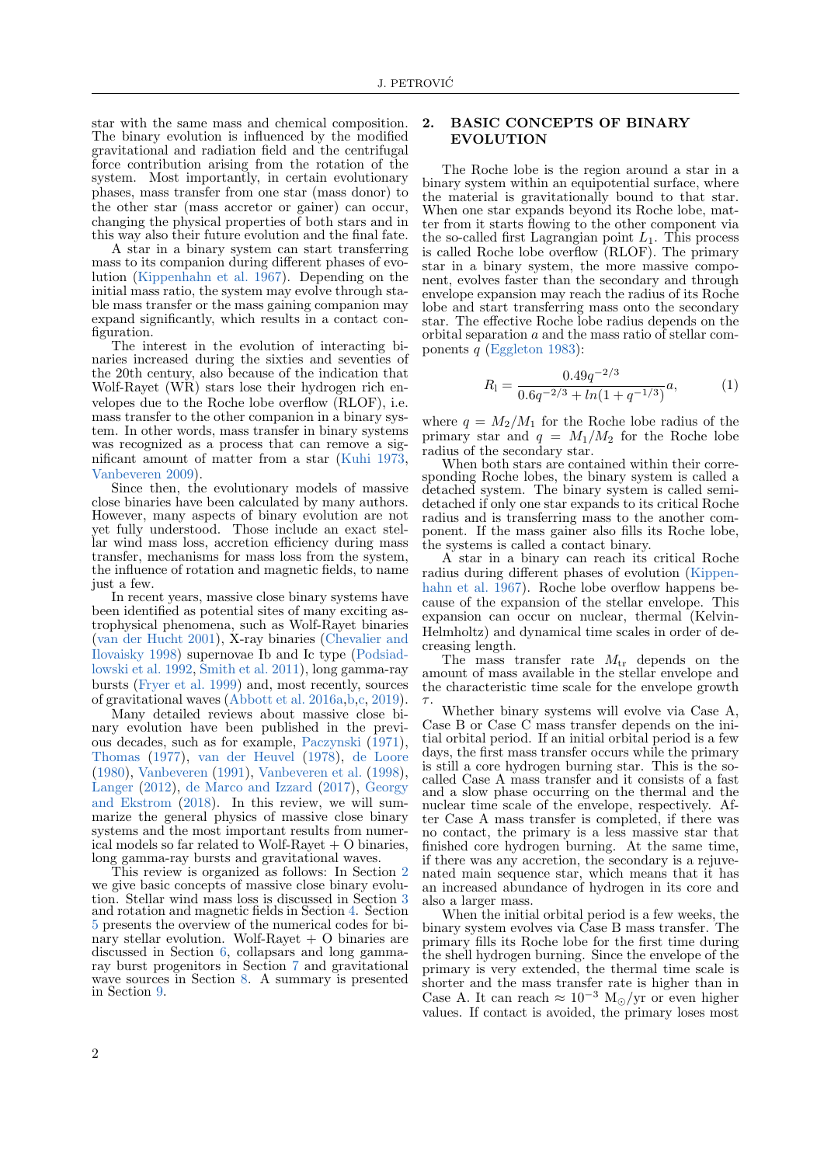star with the same mass and chemical composition. The binary evolution is influenced by the modified gravitational and radiation field and the centrifugal force contribution arising from the rotation of the system. Most importantly, in certain evolutionary phases, mass transfer from one star (mass donor) to the other star (mass accretor or gainer) can occur, changing the physical properties of both stars and in this way also their future evolution and the final fate.

A star in a binary system can start transferring mass to its companion during different phases of evolution [\(Kippenhahn et al.](#page-10-4) [1967\)](#page-10-4). Depending on the initial mass ratio, the system may evolve through stable mass transfer or the mass gaining companion may expand significantly, which results in a contact configuration.

The interest in the evolution of interacting binaries increased during the sixties and seventies of the 20th century, also because of the indication that Wolf-Rayet (WR) stars lose their hydrogen rich envelopes due to the Roche lobe overflow (RLOF), i.e. mass transfer to the other companion in a binary system. In other words, mass transfer in binary systems was recognized as a process that can remove a significant amount of matter from a star [\(Kuhi](#page-10-5) [1973,](#page-10-5) [Vanbeveren](#page-11-3) [2009\)](#page-11-3).

Since then, the evolutionary models of massive close binaries have been calculated by many authors. However, many aspects of binary evolution are not yet fully understood. Those include an exact stellar wind mass loss, accretion efficiency during mass transfer, mechanisms for mass loss from the system, the influence of rotation and magnetic fields, to name just a few.

In recent years, massive close binary systems have been identified as potential sites of many exciting astrophysical phenomena, such as Wolf-Rayet binaries [\(van der Hucht](#page-11-4) [2001\)](#page-11-4), X-ray binaries [\(Chevalier and](#page-9-0) [Ilovaisky](#page-9-0) [1998\)](#page-9-0) supernovae Ib and Ic type [\(Podsiad](#page-11-5)[lowski et al.](#page-11-5) [1992,](#page-11-5) [Smith et al.](#page-11-6) [2011\)](#page-11-6), long gamma-ray bursts [\(Fryer et al.](#page-10-6) [1999\)](#page-10-6) and, most recently, sources of gravitational waves [\(Abbott et al.](#page-9-1) [2016a,](#page-9-1)[b](#page-9-2)[,c,](#page-9-3) [2019\)](#page-9-4).

Many detailed reviews about massive close binary evolution have been published in the previous decades, such as for example, [Paczynski](#page-10-7) [\(1971\)](#page-10-7), [Thomas](#page-11-7) [\(1977\)](#page-11-7), [van der Heuvel](#page-11-8) [\(1978\)](#page-11-8), [de Loore](#page-9-5) [\(1980\)](#page-9-5), [Vanbeveren](#page-11-9) [\(1991\)](#page-11-9), [Vanbeveren et al.](#page-11-10) [\(1998\)](#page-11-10), [Langer](#page-10-8) [\(2012\)](#page-10-8), [de Marco and Izzard](#page-10-9) [\(2017\)](#page-10-9), [Georgy](#page-10-10) [and Ekstrom](#page-10-10) [\(2018\)](#page-10-10). In this review, we will summarize the general physics of massive close binary systems and the most important results from numerical models so far related to Wolf-Rayet + O binaries, long gamma-ray bursts and gravitational waves.

This review is organized as follows: In Section [2](#page-1-0) we give basic concepts of massive close binary evolution. Stellar wind mass loss is discussed in Section [3](#page-3-0) and rotation and magnetic fields in Section [4.](#page-4-0) Section [5](#page-5-0) presents the overview of the numerical codes for binary stellar evolution. Wolf-Rayet + O binaries are discussed in Section [6,](#page-6-0) collapsars and long gammaray burst progenitors in Section [7](#page-7-0) and gravitational wave sources in Section [8.](#page-8-0) A summary is presented in Section [9.](#page-9-6)

## <span id="page-1-0"></span>2. BASIC CONCEPTS OF BINARY EVOLUTION

The Roche lobe is the region around a star in a binary system within an equipotential surface, where the material is gravitationally bound to that star. When one star expands beyond its Roche lobe, matter from it starts flowing to the other component via the so-called first Lagrangian point  $L_1$ . This process is called Roche lobe overflow (RLOF). The primary star in a binary system, the more massive component, evolves faster than the secondary and through envelope expansion may reach the radius of its Roche lobe and start transferring mass onto the secondary star. The effective Roche lobe radius depends on the orbital separation a and the mass ratio of stellar components  $q$  [\(Eggleton](#page-10-11) [1983\)](#page-10-11):

<span id="page-1-1"></span>
$$
R_1 = \frac{0.49q^{-2/3}}{0.6q^{-2/3} + \ln(1 + q^{-1/3})}a,\tag{1}
$$

where  $q = M_2/M_1$  for the Roche lobe radius of the primary star and  $q = M_1/M_2$  for the Roche lobe radius of the secondary star.

When both stars are contained within their corresponding Roche lobes, the binary system is called a detached system. The binary system is called semidetached if only one star expands to its critical Roche radius and is transferring mass to the another component. If the mass gainer also fills its Roche lobe, the systems is called a contact binary.

A star in a binary can reach its critical Roche radius during different phases of evolution [\(Kippen](#page-10-4)[hahn et al.](#page-10-4) [1967\)](#page-10-4). Roche lobe overflow happens because of the expansion of the stellar envelope. This expansion can occur on nuclear, thermal (Kelvin-Helmholtz) and dynamical time scales in order of decreasing length.

The mass transfer rate  $M_{tr}$  depends on the amount of mass available in the stellar envelope and the characteristic time scale for the envelope growth  $\tau$ .

Whether binary systems will evolve via Case A, Case B or Case C mass transfer depends on the initial orbital period. If an initial orbital period is a few days, the first mass transfer occurs while the primary is still a core hydrogen burning star. This is the socalled Case A mass transfer and it consists of a fast and a slow phase occurring on the thermal and the nuclear time scale of the envelope, respectively. After Case A mass transfer is completed, if there was no contact, the primary is a less massive star that finished core hydrogen burning. At the same time, if there was any accretion, the secondary is a rejuvenated main sequence star, which means that it has an increased abundance of hydrogen in its core and also a larger mass.

When the initial orbital period is a few weeks, the binary system evolves via Case B mass transfer. The primary fills its Roche lobe for the first time during the shell hydrogen burning. Since the envelope of the primary is very extended, the thermal time scale is shorter and the mass transfer rate is higher than in Case A. It can reach  $\approx 10^{-3}$  M<sub>o</sub>/yr or even higher values. If contact is avoided, the primary loses most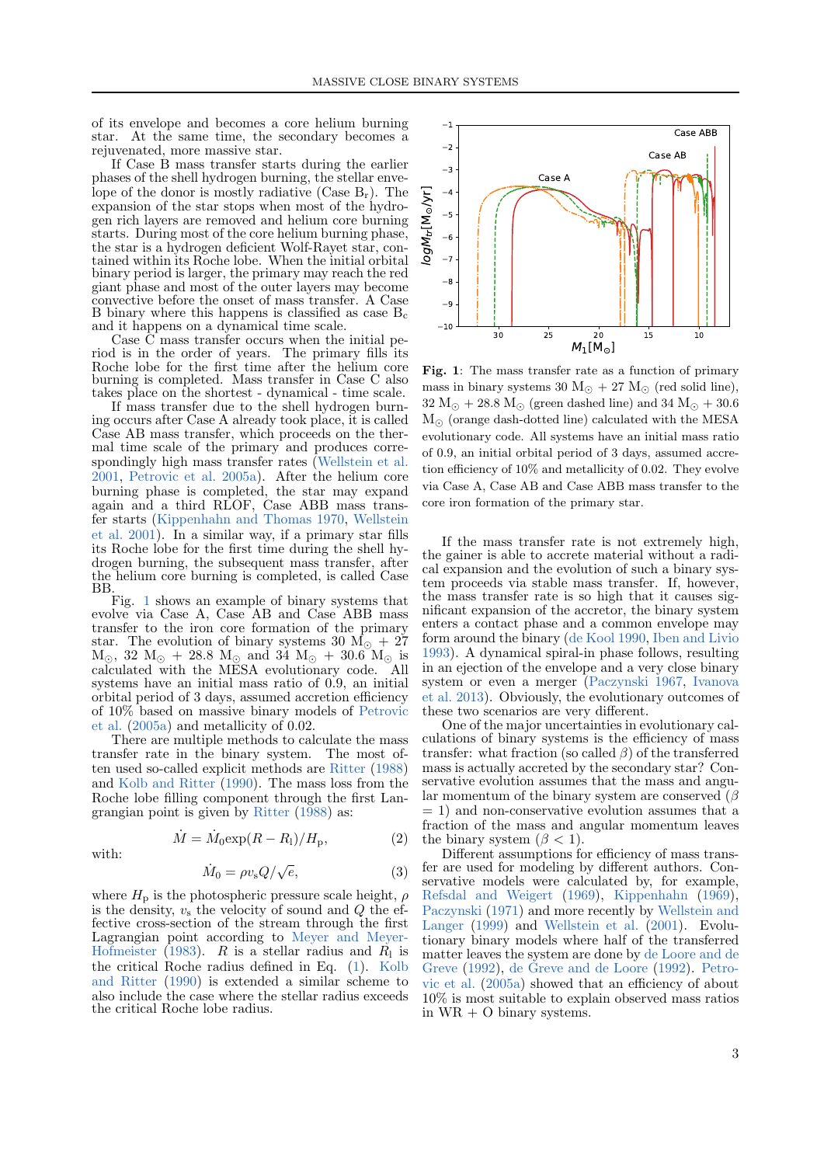of its envelope and becomes a core helium burning star. At the same time, the secondary becomes a rejuvenated, more massive star.

If Case B mass transfer starts during the earlier phases of the shell hydrogen burning, the stellar envelope of the donor is mostly radiative (Case  $B_r$ ). The expansion of the star stops when most of the hydrogen rich layers are removed and helium core burning starts. During most of the core helium burning phase, the star is a hydrogen deficient Wolf-Rayet star, contained within its Roche lobe. When the initial orbital binary period is larger, the primary may reach the red giant phase and most of the outer layers may become convective before the onset of mass transfer. A Case B binary where this happens is classified as case  $B_c$ and it happens on a dynamical time scale.

Case C mass transfer occurs when the initial period is in the order of years. The primary fills its Roche lobe for the first time after the helium core burning is completed. Mass transfer in Case C also takes place on the shortest - dynamical - time scale.

If mass transfer due to the shell hydrogen burning occurs after Case A already took place, it is called Case AB mass transfer, which proceeds on the thermal time scale of the primary and produces correspondingly high mass transfer rates [\(Wellstein et al.](#page-11-1) [2001,](#page-11-1) [Petrovic et al.](#page-10-12) [2005a\)](#page-10-12). After the helium core burning phase is completed, the star may expand again and a third RLOF, Case ABB mass transfer starts [\(Kippenhahn and Thomas](#page-10-13) [1970,](#page-10-13) [Wellstein](#page-11-1) [et al.](#page-11-1) [2001\)](#page-11-1). In a similar way, if a primary star fills its Roche lobe for the first time during the shell hydrogen burning, the subsequent mass transfer, after the helium core burning is completed, is called Case BB.

Fig. [1](#page-2-0) shows an example of binary systems that evolve via Case A, Case AB and Case ABB mass transfer to the iron core formation of the primary star. The evolution of binary systems 30  $\dot{M_{\odot}} + 27$  $M_{\odot}$ , 32  $M_{\odot}$  + 28.8  $M_{\odot}$  and 34  $M_{\odot}$  + 30.6  $M_{\odot}$  is calculated with the MESA evolutionary code. All systems have an initial mass ratio of 0.9, an initial orbital period of 3 days, assumed accretion efficiency of 10% based on massive binary models of [Petrovic](#page-10-12) [et al.](#page-10-12) [\(2005a\)](#page-10-12) and metallicity of 0.02.

There are multiple methods to calculate the mass transfer rate in the binary system. The most often used so-called explicit methods are [Ritter](#page-11-11) [\(1988\)](#page-11-11) and [Kolb and Ritter](#page-10-14) [\(1990\)](#page-10-14). The mass loss from the Roche lobe filling component through the first Langrangian point is given by [Ritter](#page-11-11) [\(1988\)](#page-11-11) as:



$$
\dot{M} = \dot{M}_0 \exp(R - R_1) / H_p,\tag{2}
$$

$$
\dot{M}_0 = \rho v_{\rm s} Q / \sqrt{e},\tag{3}
$$

where  $H<sub>p</sub>$  is the photospheric pressure scale height,  $\rho$ is the density,  $v_s$  the velocity of sound and  $Q$  the effective cross-section of the stream through the first Lagrangian point according to [Meyer and Meyer-](#page-10-15)[Hofmeister](#page-10-15) [\(1983\)](#page-10-15). R is a stellar radius and  $R_1$  is the critical Roche radius defined in Eq. [\(1\)](#page-1-1). [Kolb](#page-10-14) [and Ritter](#page-10-14) [\(1990\)](#page-10-14) is extended a similar scheme to also include the case where the stellar radius exceeds the critical Roche lobe radius.



<span id="page-2-0"></span>Fig. 1: The mass transfer rate as a function of primary mass in binary systems 30  $M_{\odot}$  + 27  $M_{\odot}$  (red solid line),  $32 M_{\odot} + 28.8 M_{\odot}$  (green dashed line) and  $34 M_{\odot} + 30.6$  $M_{\odot}$  (orange dash-dotted line) calculated with the MESA evolutionary code. All systems have an initial mass ratio of 0.9, an initial orbital period of 3 days, assumed accretion efficiency of 10% and metallicity of 0.02. They evolve via Case A, Case AB and Case ABB mass transfer to the core iron formation of the primary star.

If the mass transfer rate is not extremely high, the gainer is able to accrete material without a radical expansion and the evolution of such a binary system proceeds via stable mass transfer. If, however, the mass transfer rate is so high that it causes significant expansion of the accretor, the binary system enters a contact phase and a common envelope may form around the binary [\(de Kool](#page-9-7) [1990,](#page-9-7) [Iben and Livio](#page-10-16) [1993\)](#page-10-16). A dynamical spiral-in phase follows, resulting in an ejection of the envelope and a very close binary system or even a merger [\(Paczynski](#page-10-17) [1967,](#page-10-17) [Ivanova](#page-10-18) [et al.](#page-10-18) [2013\)](#page-10-18). Obviously, the evolutionary outcomes of these two scenarios are very different.

One of the major uncertainties in evolutionary calculations of binary systems is the efficiency of mass transfer: what fraction (so called  $\beta$ ) of the transferred mass is actually accreted by the secondary star? Conservative evolution assumes that the mass and angular momentum of the binary system are conserved  $(\beta$  $= 1$ ) and non-conservative evolution assumes that a fraction of the mass and angular momentum leaves the binary system  $(\beta < 1)$ .

Different assumptions for efficiency of mass transfer are used for modeling by different authors. Conservative models were calculated by, for example, [Refsdal and Weigert](#page-11-12) [\(1969\)](#page-11-12), [Kippenhahn](#page-10-19) [\(1969\)](#page-10-19), [Paczynski](#page-10-7) [\(1971\)](#page-10-7) and more recently by [Wellstein and](#page-11-13) [Langer](#page-11-13) [\(1999\)](#page-11-13) and [Wellstein et al.](#page-11-1) [\(2001\)](#page-11-1). Evolutionary binary models where half of the transferred matter leaves the system are done by [de Loore and de](#page-9-8) [Greve](#page-9-8) [\(1992\)](#page-9-8), [de Greve and de Loore](#page-9-9) [\(1992\)](#page-9-9). [Petro](#page-10-12)[vic et al.](#page-10-12) [\(2005a\)](#page-10-12) showed that an efficiency of about 10% is most suitable to explain observed mass ratios in WR + O binary systems.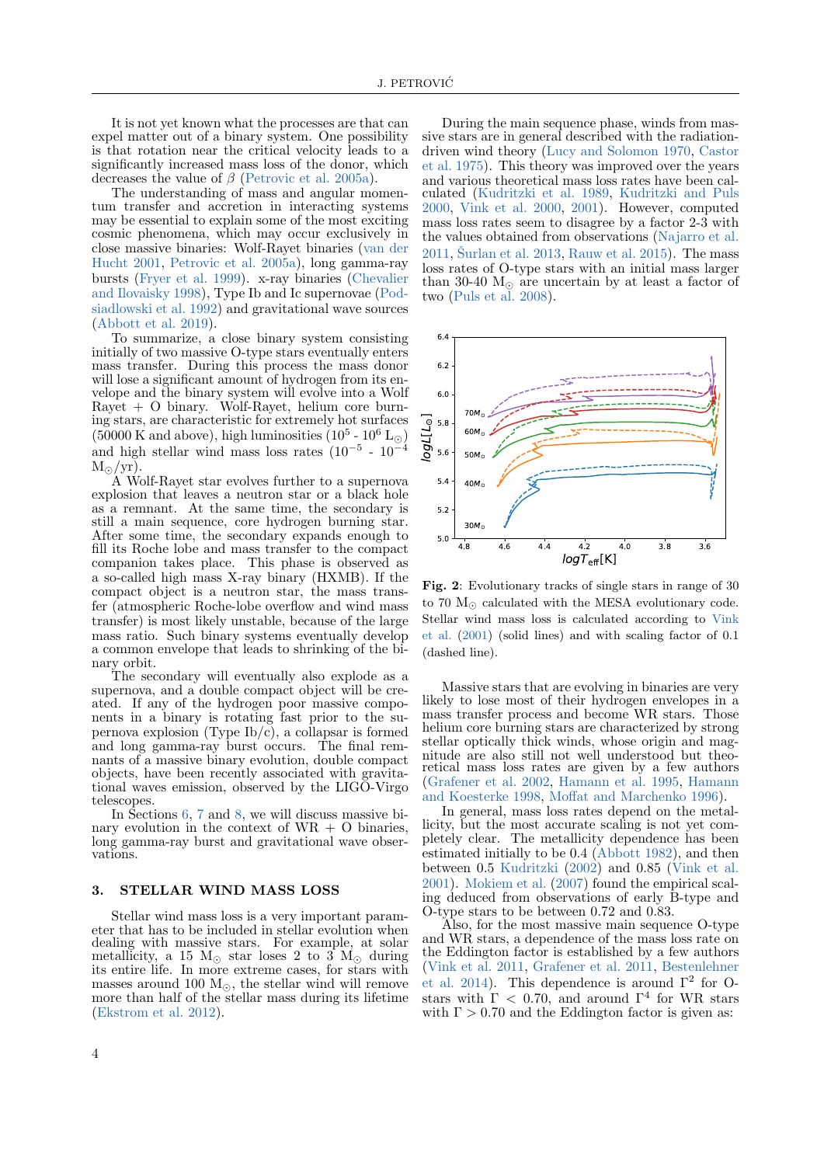It is not yet known what the processes are that can expel matter out of a binary system. One possibility is that rotation near the critical velocity leads to a significantly increased mass loss of the donor, which decreases the value of β [\(Petrovic et al.](#page-10-12) [2005a\)](#page-10-12).

The understanding of mass and angular momentum transfer and accretion in interacting systems may be essential to explain some of the most exciting cosmic phenomena, which may occur exclusively in close massive binaries: Wolf-Rayet binaries [\(van der](#page-11-4) [Hucht](#page-11-4) [2001,](#page-11-4) [Petrovic et al.](#page-10-12) [2005a\)](#page-10-12), long gamma-ray bursts [\(Fryer et al.](#page-10-6) [1999\)](#page-10-6). x-ray binaries [\(Chevalier](#page-9-0) [and Ilovaisky](#page-9-0) [1998\)](#page-9-0), Type Ib and Ic supernovae [\(Pod](#page-11-5)[siadlowski et al.](#page-11-5) [1992\)](#page-11-5) and gravitational wave sources [\(Abbott et al.](#page-9-4) [2019\)](#page-9-4).

To summarize, a close binary system consisting initially of two massive O-type stars eventually enters mass transfer. During this process the mass donor will lose a significant amount of hydrogen from its envelope and the binary system will evolve into a Wolf Rayet + O binary. Wolf-Rayet, helium core burning stars, are characteristic for extremely hot surfaces  $(50000 \text{ K and above})$ , high luminosities  $(10^5 \text{ - } 10^6 \text{ L}_{\odot})$ and high stellar wind mass loss rates  $(10^{-5} - 10^{-4})$  $M_{\odot}/yr$ ).

A Wolf-Rayet star evolves further to a supernova explosion that leaves a neutron star or a black hole as a remnant. At the same time, the secondary is still a main sequence, core hydrogen burning star. After some time, the secondary expands enough to fill its Roche lobe and mass transfer to the compact companion takes place. This phase is observed as a so-called high mass X-ray binary (HXMB). If the compact object is a neutron star, the mass transfer (atmospheric Roche-lobe overflow and wind mass transfer) is most likely unstable, because of the large mass ratio. Such binary systems eventually develop a common envelope that leads to shrinking of the binary orbit.

The secondary will eventually also explode as a supernova, and a double compact object will be created. If any of the hydrogen poor massive components in a binary is rotating fast prior to the supernova explosion (Type Ib/c), a collapsar is formed and long gamma-ray burst occurs. The final remnants of a massive binary evolution, double compact objects, have been recently associated with gravitational waves emission, observed by the LIGO-Virgo telescopes.

In Sections [6,](#page-6-0) [7](#page-7-0) and [8,](#page-8-0) we will discuss massive binary evolution in the context of  $WR + Q$  binaries. long gamma-ray burst and gravitational wave observations.

#### <span id="page-3-0"></span>3. STELLAR WIND MASS LOSS

Stellar wind mass loss is a very important parameter that has to be included in stellar evolution when dealing with massive stars. For example, at solar metallicity, a 15  $M_{\odot}$  star loses 2 to 3  $M_{\odot}$  during its entire life. In more extreme cases, for stars with masses around 100  $M_{\odot}$ , the stellar wind will remove more than half of the stellar mass during its lifetime [\(Ekstrom et al.](#page-10-20) [2012\)](#page-10-20).

During the main sequence phase, winds from massive stars are in general described with the radiationdriven wind theory [\(Lucy and Solomon](#page-10-21) [1970,](#page-10-21) [Castor](#page-9-10) [et al.](#page-9-10) [1975\)](#page-9-10). This theory was improved over the years and various theoretical mass loss rates have been calculated [\(Kudritzki et al.](#page-10-22) [1989,](#page-10-22) [Kudritzki and Puls](#page-10-23) [2000,](#page-10-23) [Vink et al.](#page-11-14) [2000,](#page-11-14) [2001\)](#page-11-15). However, computed mass loss rates seem to disagree by a factor 2-3 with the values obtained from observations [\(Najarro et al.](#page-10-24)  $2011$ . Šurlan et al.  $2013$ , [Rauw et al.](#page-11-17)  $2015$ ). The mass loss rates of O-type stars with an initial mass larger than 30-40  $M_{\odot}$  are uncertain by at least a factor of two [\(Puls et al.](#page-11-18) [2008\)](#page-11-18).



Fig. 2: Evolutionary tracks of single stars in range of 30 to 70  $M_{\odot}$  calculated with the MESA evolutionary code. Stellar wind mass loss is calculated according to [Vink](#page-11-15) [et al.](#page-11-15) [\(2001\)](#page-11-15) (solid lines) and with scaling factor of 0.1 (dashed line).

Massive stars that are evolving in binaries are very likely to lose most of their hydrogen envelopes in a mass transfer process and become WR stars. Those helium core burning stars are characterized by strong stellar optically thick winds, whose origin and magnitude are also still not well understood but theoretical mass loss rates are given by a few authors [\(Grafener et al.](#page-10-25) [2002,](#page-10-25) [Hamann et al.](#page-10-26) [1995,](#page-10-26) [Hamann](#page-10-27) [and Koesterke](#page-10-27) [1998,](#page-10-27) [Moffat and Marchenko](#page-10-28) [1996\)](#page-10-28).

In general, mass loss rates depend on the metallicity, but the most accurate scaling is not yet completely clear. The metallicity dependence has been estimated initially to be 0.4 [\(Abbott](#page-9-11) [1982\)](#page-9-11), and then between 0.5 [Kudritzki](#page-10-29) [\(2002\)](#page-10-29) and 0.85 [\(Vink et al.](#page-11-15) [2001\)](#page-11-15). [Mokiem et al.](#page-10-30) [\(2007\)](#page-10-30) found the empirical scaling deduced from observations of early B-type and O-type stars to be between 0.72 and 0.83.

Also, for the most massive main sequence O-type and WR stars, a dependence of the mass loss rate on the Eddington factor is established by a few authors [\(Vink et al.](#page-11-19) [2011,](#page-11-19) [Grafener et al.](#page-10-31) [2011,](#page-10-31) [Bestenlehner](#page-9-12) [et al.](#page-9-12) [2014\)](#page-9-12). This dependence is around  $\Gamma^2$  for Ostars with  $\Gamma$  < 0.70, and around  $\Gamma^4$  for WR stars with  $\Gamma > 0.70$  and the Eddington factor is given as: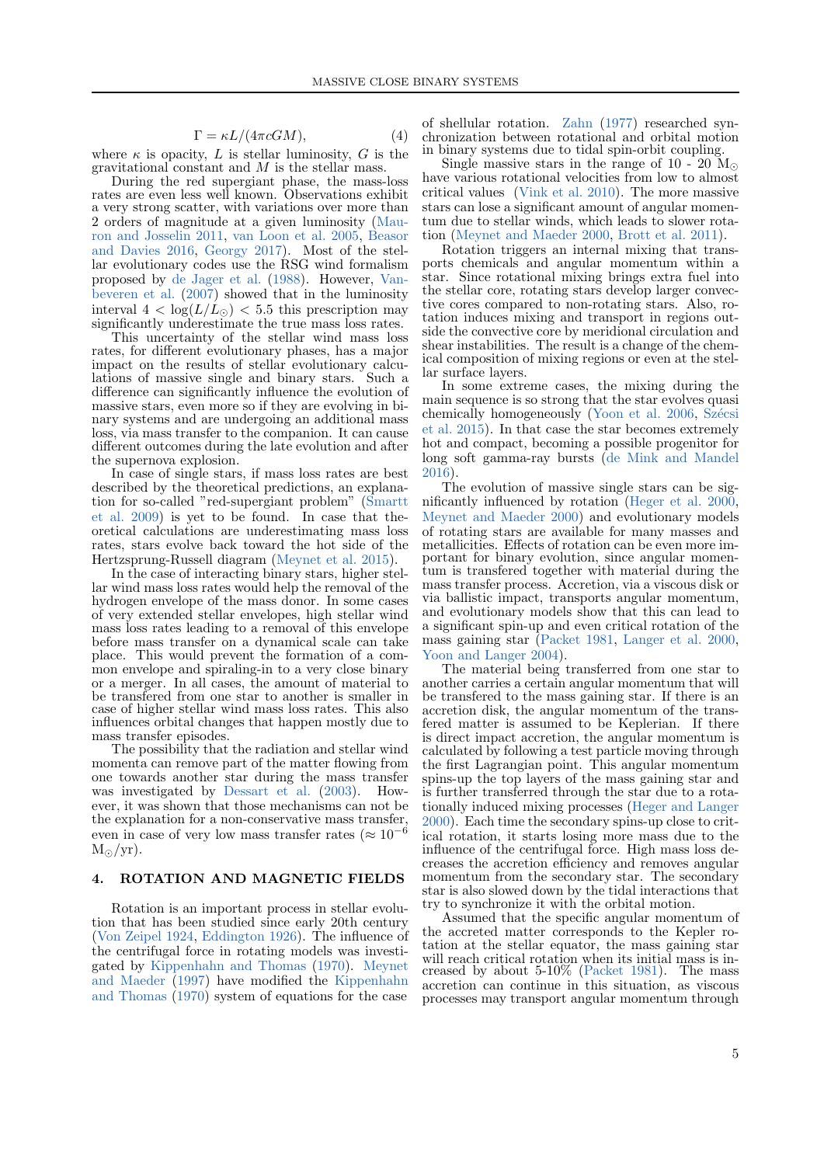<span id="page-4-1"></span>
$$
\Gamma = \kappa L / (4\pi cGM),\tag{4}
$$

where  $\kappa$  is opacity, L is stellar luminosity, G is the gravitational constant and  $M$  is the stellar mass.

During the red supergiant phase, the mass-loss rates are even less well known. Observations exhibit a very strong scatter, with variations over more than 2 orders of magnitude at a given luminosity [\(Mau](#page-10-32)[ron and Josselin](#page-10-32) [2011,](#page-10-32) [van Loon et al.](#page-11-20) [2005,](#page-11-20) [Beasor](#page-9-13) [and Davies](#page-9-13) [2016,](#page-9-13) [Georgy](#page-10-33) [2017\)](#page-10-33). Most of the stellar evolutionary codes use the RSG wind formalism proposed by [de Jager et al.](#page-9-14) [\(1988\)](#page-9-14). However, [Van](#page-11-21)[beveren et al.](#page-11-21) [\(2007\)](#page-11-21) showed that in the luminosity interval  $4 < log(L/L_{\odot}) < 5.5$  this prescription may significantly underestimate the true mass loss rates.

This uncertainty of the stellar wind mass loss rates, for different evolutionary phases, has a major impact on the results of stellar evolutionary calculations of massive single and binary stars. Such a difference can significantly influence the evolution of massive stars, even more so if they are evolving in binary systems and are undergoing an additional mass loss, via mass transfer to the companion. It can cause different outcomes during the late evolution and after the supernova explosion.

In case of single stars, if mass loss rates are best described by the theoretical predictions, an explanation for so-called "red-supergiant problem" [\(Smartt](#page-11-22) [et al.](#page-11-22) [2009\)](#page-11-22) is yet to be found. In case that theoretical calculations are underestimating mass loss rates, stars evolve back toward the hot side of the Hertzsprung-Russell diagram [\(Meynet et al.](#page-10-34) [2015\)](#page-10-34).

In the case of interacting binary stars, higher stellar wind mass loss rates would help the removal of the hydrogen envelope of the mass donor. In some cases of very extended stellar envelopes, high stellar wind mass loss rates leading to a removal of this envelope before mass transfer on a dynamical scale can take place. This would prevent the formation of a common envelope and spiraling-in to a very close binary or a merger. In all cases, the amount of material to be transfered from one star to another is smaller in case of higher stellar wind mass loss rates. This also influences orbital changes that happen mostly due to mass transfer episodes.

The possibility that the radiation and stellar wind momenta can remove part of the matter flowing from one towards another star during the mass transfer was investigated by [Dessart et al.](#page-10-35) [\(2003\)](#page-10-35). However, it was shown that those mechanisms can not be the explanation for a non-conservative mass transfer, even in case of very low mass transfer rates ( $\approx 10^{-6}$ )  $M_{\odot}/yr$ ).

## <span id="page-4-0"></span>4. ROTATION AND MAGNETIC FIELDS

Rotation is an important process in stellar evolution that has been studied since early 20th century [\(Von Zeipel](#page-11-23) [1924,](#page-11-23) [Eddington](#page-10-36) [1926\)](#page-10-36). The influence of the centrifugal force in rotating models was investigated by [Kippenhahn and Thomas](#page-10-13) [\(1970\)](#page-10-13). [Meynet](#page-10-37) [and Maeder](#page-10-37) [\(1997\)](#page-10-37) have modified the [Kippenhahn](#page-10-13) [and Thomas](#page-10-13) [\(1970\)](#page-10-13) system of equations for the case

of shellular rotation. [Zahn](#page-11-24) [\(1977\)](#page-11-24) researched synchronization between rotational and orbital motion in binary systems due to tidal spin-orbit coupling.

Single massive stars in the range of 10 - 20  $\rm M_{\odot}$ have various rotational velocities from low to almost critical values [\(Vink et al.](#page-11-25) [2010\)](#page-11-25). The more massive stars can lose a significant amount of angular momentum due to stellar winds, which leads to slower rotation [\(Meynet and Maeder](#page-10-38) [2000,](#page-10-38) [Brott et al.](#page-9-15) [2011\)](#page-9-15).

Rotation triggers an internal mixing that transports chemicals and angular momentum within a star. Since rotational mixing brings extra fuel into the stellar core, rotating stars develop larger convective cores compared to non-rotating stars. Also, rotation induces mixing and transport in regions outside the convective core by meridional circulation and shear instabilities. The result is a change of the chemical composition of mixing regions or even at the stellar surface layers.

In some extreme cases, the mixing during the main sequence is so strong that the star evolves quasi chemically homogeneously [\(Yoon et al.](#page-11-26) [2006,](#page-11-26) Szécsi [et al.](#page-11-27) [2015\)](#page-11-27). In that case the star becomes extremely hot and compact, becoming a possible progenitor for long soft gamma-ray bursts [\(de Mink and Mandel](#page-10-39) [2016\)](#page-10-39).

The evolution of massive single stars can be significantly influenced by rotation [\(Heger et al.](#page-10-40) [2000,](#page-10-40) [Meynet and Maeder](#page-10-38) [2000\)](#page-10-38) and evolutionary models of rotating stars are available for many masses and metallicities. Effects of rotation can be even more important for binary evolution, since angular momentum is transfered together with material during the mass transfer process. Accretion, via a viscous disk or via ballistic impact, transports angular momentum, and evolutionary models show that this can lead to a significant spin-up and even critical rotation of the mass gaining star [\(Packet](#page-10-41) [1981,](#page-10-41) [Langer et al.](#page-10-42) [2000,](#page-10-42) [Yoon and Langer](#page-11-28) [2004\)](#page-11-28).

The material being transferred from one star to another carries a certain angular momentum that will be transfered to the mass gaining star. If there is an accretion disk, the angular momentum of the transfered matter is assumed to be Keplerian. If there is direct impact accretion, the angular momentum is calculated by following a test particle moving through the first Lagrangian point. This angular momentum spins-up the top layers of the mass gaining star and is further transferred through the star due to a rotationally induced mixing processes [\(Heger and Langer](#page-10-43) [2000\)](#page-10-43). Each time the secondary spins-up close to critical rotation, it starts losing more mass due to the influence of the centrifugal force. High mass loss decreases the accretion efficiency and removes angular momentum from the secondary star. The secondary star is also slowed down by the tidal interactions that try to synchronize it with the orbital motion.

Assumed that the specific angular momentum of the accreted matter corresponds to the Kepler rotation at the stellar equator, the mass gaining star will reach critical rotation when its initial mass is increased by about 5-10% [\(Packet](#page-10-41) [1981\)](#page-10-41). The mass accretion can continue in this situation, as viscous processes may transport angular momentum through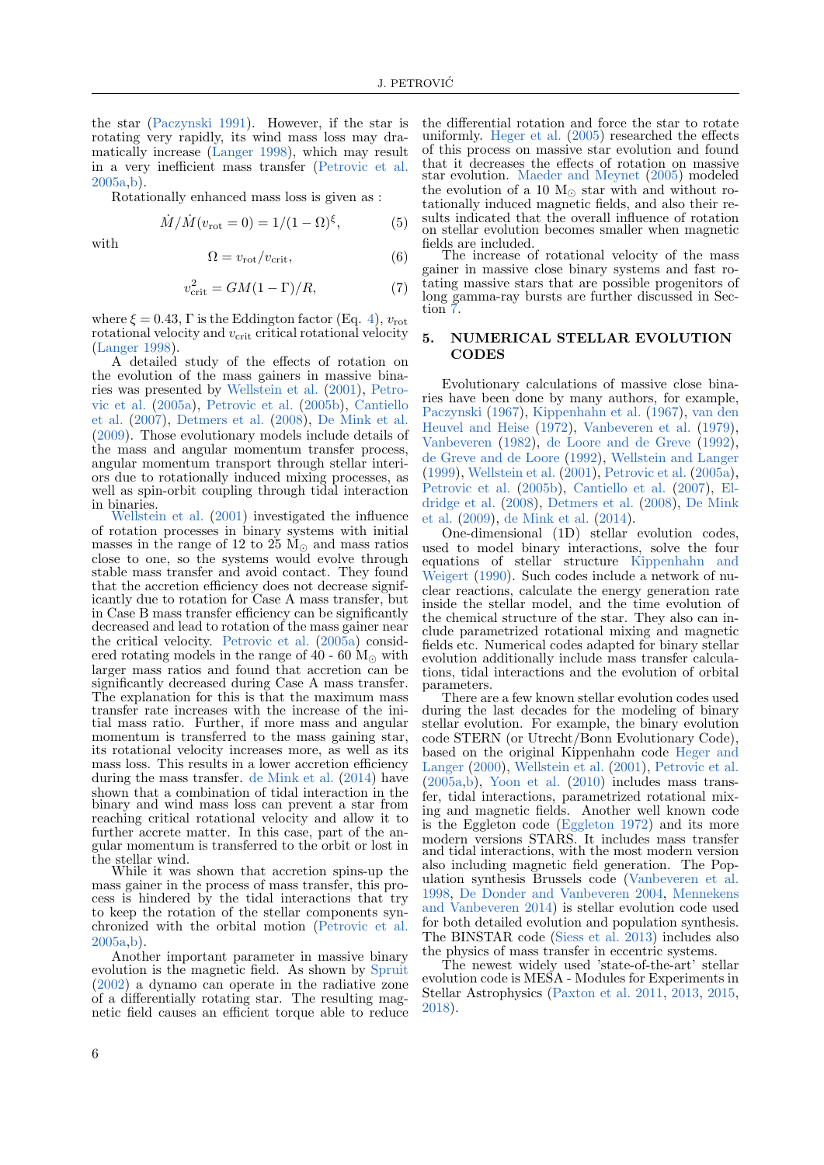the star [\(Paczynski](#page-10-44) [1991\)](#page-10-44). However, if the star is rotating very rapidly, its wind mass loss may dramatically increase [\(Langer](#page-10-45) [1998\)](#page-10-45), which may result in a very inefficient mass transfer [\(Petrovic et al.](#page-10-12) [2005a](#page-10-12)[,b\)](#page-11-29).

Rotationally enhanced mass loss is given as :

$$
\dot{M}/\dot{M}(v_{\rm rot} = 0) = 1/(1 - \Omega)^{\xi}, \tag{5}
$$

with

$$
\Omega = v_{\rm rot} / v_{\rm crit},\tag{6}
$$

$$
v_{\rm crit}^2 = GM(1 - \Gamma)/R,\tag{7}
$$

where  $\xi = 0.43$ , Γ is the Eddington factor (Eq. [4\)](#page-4-1),  $v_{\text{rot}}$ rotational velocity and  $v_{\text{crit}}$  critical rotational velocity [\(Langer](#page-10-45) [1998\)](#page-10-45).

A detailed study of the effects of rotation on the evolution of the mass gainers in massive binaries was presented by [Wellstein et al.](#page-11-1) [\(2001\)](#page-11-1), [Petro](#page-10-12)[vic et al.](#page-10-12) [\(2005a\)](#page-10-12), [Petrovic et al.](#page-11-29) [\(2005b\)](#page-11-29), [Cantiello](#page-9-16) [et al.](#page-9-16) [\(2007\)](#page-9-16), [Detmers et al.](#page-10-46) [\(2008\)](#page-10-46), [De Mink et al.](#page-10-47) [\(2009\)](#page-10-47). Those evolutionary models include details of the mass and angular momentum transfer process, angular momentum transport through stellar interiors due to rotationally induced mixing processes, as well as spin-orbit coupling through tidal interaction in binaries.

[Wellstein et al.](#page-11-1) [\(2001\)](#page-11-1) investigated the influence of rotation processes in binary systems with initial masses in the range of 12 to  $25 \text{ M}_{\odot}$  and mass ratios close to one, so the systems would evolve through stable mass transfer and avoid contact. They found that the accretion efficiency does not decrease significantly due to rotation for Case A mass transfer, but in Case B mass transfer efficiency can be significantly decreased and lead to rotation of the mass gainer near the critical velocity. [Petrovic et al.](#page-10-12) [\(2005a\)](#page-10-12) considered rotating models in the range of 40 - 60  $M_{\odot}$  with larger mass ratios and found that accretion can be significantly decreased during Case A mass transfer. The explanation for this is that the maximum mass transfer rate increases with the increase of the initial mass ratio. Further, if more mass and angular momentum is transferred to the mass gaining star. its rotational velocity increases more, as well as its mass loss. This results in a lower accretion efficiency during the mass transfer. [de Mink et al.](#page-10-48) [\(2014\)](#page-10-48) have shown that a combination of tidal interaction in the binary and wind mass loss can prevent a star from reaching critical rotational velocity and allow it to further accrete matter. In this case, part of the angular momentum is transferred to the orbit or lost in the stellar wind.

While it was shown that accretion spins-up the mass gainer in the process of mass transfer, this process is hindered by the tidal interactions that try to keep the rotation of the stellar components synchronized with the orbital motion [\(Petrovic et al.](#page-10-12)  $2005a$ , b).

Another important parameter in massive binary evolution is the magnetic field. As shown by [Spruit](#page-11-30) [\(2002\)](#page-11-30) a dynamo can operate in the radiative zone of a differentially rotating star. The resulting magnetic field causes an efficient torque able to reduce the differential rotation and force the star to rotate uniformly. [Heger et al.](#page-10-49) [\(2005\)](#page-10-49) researched the effects of this process on massive star evolution and found that it decreases the effects of rotation on massive star evolution. [Maeder and Meynet](#page-10-50) [\(2005\)](#page-10-50) modeled the evolution of a 10  $M_{\odot}$  star with and without rotationally induced magnetic fields, and also their results indicated that the overall influence of rotation on stellar evolution becomes smaller when magnetic fields are included.

The increase of rotational velocity of the mass gainer in massive close binary systems and fast rotating massive stars that are possible progenitors of long gamma-ray bursts are further discussed in Section.

## <span id="page-5-0"></span>5. NUMERICAL STELLAR EVOLUTION **CODES**

Evolutionary calculations of massive close binaries have been done by many authors, for example, [Paczynski](#page-10-17) [\(1967\)](#page-10-17), [Kippenhahn et al.](#page-10-4) [\(1967\)](#page-10-4), [van den](#page-11-31) [Heuvel and Heise](#page-11-31) [\(1972\)](#page-11-31), [Vanbeveren et al.](#page-11-32) [\(1979\)](#page-11-32), [Vanbeveren](#page-11-33) [\(1982\)](#page-11-33), [de Loore and de Greve](#page-9-8) [\(1992\)](#page-9-8), [de Greve and de Loore](#page-9-9) [\(1992\)](#page-9-9), [Wellstein and Langer](#page-11-13) [\(1999\)](#page-11-13), [Wellstein et al.](#page-11-1) [\(2001\)](#page-11-1), [Petrovic et al.](#page-10-12) [\(2005a\)](#page-10-12), [Petrovic et al.](#page-11-29) [\(2005b\)](#page-11-29), [Cantiello et al.](#page-9-16) [\(2007\)](#page-9-16), [El](#page-10-51)[dridge et al.](#page-10-51) [\(2008\)](#page-10-51), [Detmers et al.](#page-10-46) [\(2008\)](#page-10-46), [De Mink](#page-10-47) [et al.](#page-10-47) [\(2009\)](#page-10-47), [de Mink et al.](#page-10-48) [\(2014\)](#page-10-48).

One-dimensional (1D) stellar evolution codes, used to model binary interactions, solve the four equations of stellar structure [Kippenhahn and](#page-10-52) [Weigert](#page-10-52) [\(1990\)](#page-10-52). Such codes include a network of nuclear reactions, calculate the energy generation rate inside the stellar model, and the time evolution of the chemical structure of the star. They also can include parametrized rotational mixing and magnetic fields etc. Numerical codes adapted for binary stellar evolution additionally include mass transfer calculations, tidal interactions and the evolution of orbital parameters.

There are a few known stellar evolution codes used during the last decades for the modeling of binary stellar evolution. For example, the binary evolution code STERN (or Utrecht/Bonn Evolutionary Code), based on the original Kippenhahn code [Heger and](#page-10-43) [Langer](#page-10-43) [\(2000\)](#page-10-43), [Wellstein et al.](#page-11-1) [\(2001\)](#page-11-1), [Petrovic et al.](#page-10-12)  $(2005a,b)$  $(2005a,b)$ , [Yoon et al.](#page-11-34)  $(2010)$  includes mass transfer, tidal interactions, parametrized rotational mixing and magnetic fields. Another well known code is the Eggleton code [\(Eggleton](#page-10-53) [1972\)](#page-10-53) and its more modern versions STARS. It includes mass transfer and tidal interactions, with the most modern version also including magnetic field generation. The Population synthesis Brussels code [\(Vanbeveren et al.](#page-11-10) [1998,](#page-11-10) [De Donder and Vanbeveren](#page-9-17) [2004,](#page-9-17) [Mennekens](#page-10-54) [and Vanbeveren](#page-10-54) [2014\)](#page-10-54) is stellar evolution code used for both detailed evolution and population synthesis. The BINSTAR code [\(Siess et al.](#page-11-35) [2013\)](#page-11-35) includes also the physics of mass transfer in eccentric systems.

The newest widely used 'state-of-the-art' stellar evolution code is MESA - Modules for Experiments in Stellar Astrophysics [\(Paxton et al.](#page-10-55) [2011,](#page-10-55) [2013,](#page-10-56) [2015,](#page-10-57) [2018\)](#page-10-58).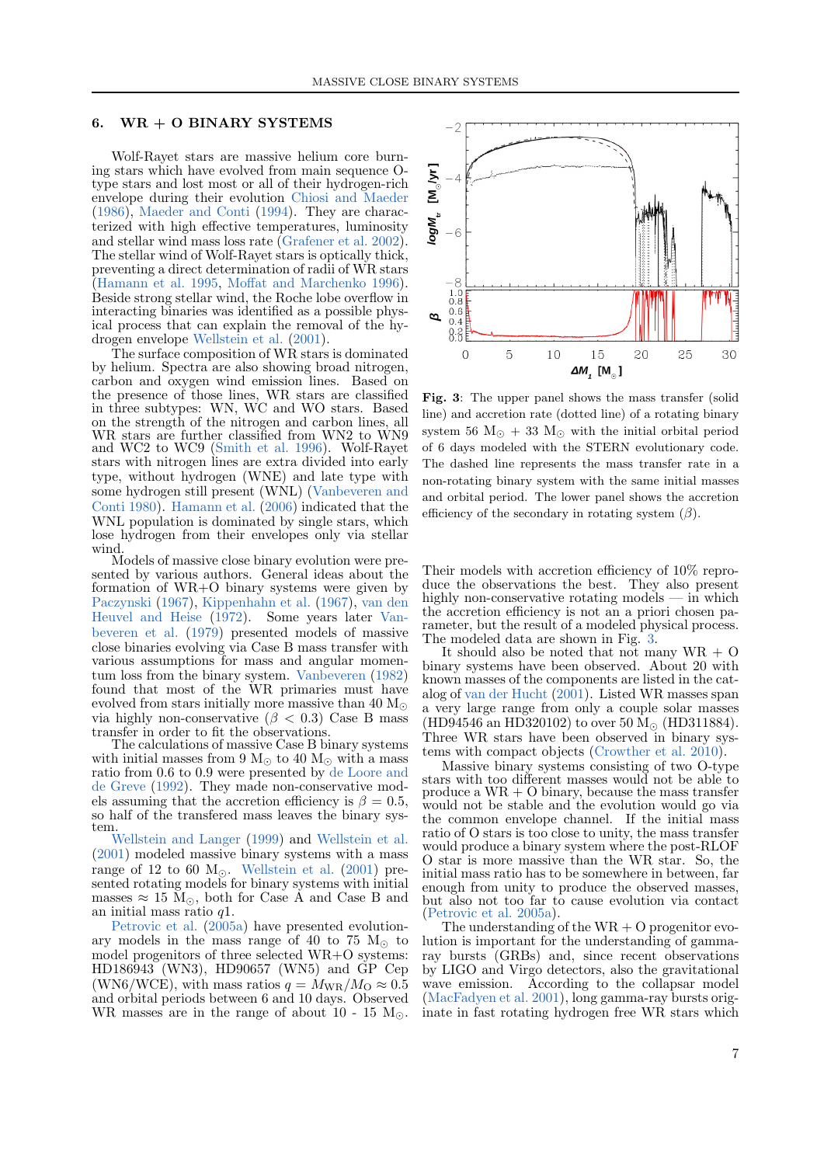#### <span id="page-6-0"></span>6.  $WR + O$  BINARY SYSTEMS

Wolf-Rayet stars are massive helium core burning stars which have evolved from main sequence Otype stars and lost most or all of their hydrogen-rich envelope during their evolution [Chiosi and Maeder](#page-9-18) [\(1986\)](#page-9-18), [Maeder and Conti](#page-10-59) [\(1994\)](#page-10-59). They are characterized with high effective temperatures, luminosity and stellar wind mass loss rate [\(Grafener et al.](#page-10-25) [2002\)](#page-10-25). The stellar wind of Wolf-Rayet stars is optically thick, preventing a direct determination of radii of WR stars [\(Hamann et al.](#page-10-26) [1995,](#page-10-26) [Moffat and Marchenko](#page-10-28) [1996\)](#page-10-28). Beside strong stellar wind, the Roche lobe overflow in interacting binaries was identified as a possible physical process that can explain the removal of the hydrogen envelope [Wellstein et al.](#page-11-1) [\(2001\)](#page-11-1).

The surface composition of WR stars is dominated by helium. Spectra are also showing broad nitrogen, carbon and oxygen wind emission lines. Based on the presence of those lines, WR stars are classified in three subtypes: WN, WC and WO stars. Based on the strength of the nitrogen and carbon lines, all WR stars are further classified from WN2 to WN9 and WC2 to WC9 [\(Smith et al.](#page-11-36) [1996\)](#page-11-36). Wolf-Rayet stars with nitrogen lines are extra divided into early type, without hydrogen (WNE) and late type with some hydrogen still present (WNL) [\(Vanbeveren and](#page-11-37) [Conti](#page-11-37) [1980\)](#page-11-37). [Hamann et al.](#page-10-60) [\(2006\)](#page-10-60) indicated that the WNL population is dominated by single stars, which lose hydrogen from their envelopes only via stellar wind.

Models of massive close binary evolution were presented by various authors. General ideas about the formation of WR+O binary systems were given by [Paczynski](#page-10-17) [\(1967\)](#page-10-17), [Kippenhahn et al.](#page-10-4) [\(1967\)](#page-10-4), [van den](#page-11-31) [Heuvel and Heise](#page-11-31) [\(1972\)](#page-11-31). Some years later [Van](#page-11-32)[beveren et al.](#page-11-32) [\(1979\)](#page-11-32) presented models of massive close binaries evolving via Case B mass transfer with various assumptions for mass and angular momentum loss from the binary system. [Vanbeveren](#page-11-33) [\(1982\)](#page-11-33) found that most of the WR primaries must have evolved from stars initially more massive than 40  $M_{\odot}$ via highly non-conservative ( $\beta$  < 0.3) Case B mass transfer in order to fit the observations.

The calculations of massive Case B binary systems with initial masses from 9  $M_{\odot}$  to 40  $M_{\odot}$  with a mass ratio from 0.6 to 0.9 were presented by [de Loore and](#page-9-8) [de Greve](#page-9-8) [\(1992\)](#page-9-8). They made non-conservative models assuming that the accretion efficiency is  $\beta = 0.5$ , so half of the transfered mass leaves the binary system.

[Wellstein and Langer](#page-11-13) [\(1999\)](#page-11-13) and [Wellstein et al.](#page-11-1) [\(2001\)](#page-11-1) modeled massive binary systems with a mass range of 12 to 60  $M_{\odot}$ . [Wellstein et al.](#page-11-1) [\(2001\)](#page-11-1) presented rotating models for binary systems with initial masses  $\approx 15 \text{ M}_{\odot}$ , both for Case Å and Case B and an initial mass ratio  $q1$ .

[Petrovic et al.](#page-10-12) [\(2005a\)](#page-10-12) have presented evolutionary models in the mass range of 40 to 75  $M_{\odot}$  to model progenitors of three selected WR+O systems: HD186943 (WN3), HD90657 (WN5) and GP Cep (WN6/WCE), with mass ratios  $q = M_{\text{WR}}/M_{\text{O}} \approx 0.5$ and orbital periods between 6 and 10 days. Observed WR masses are in the range of about 10 - 15  $M_{\odot}$ .



<span id="page-6-1"></span>Fig. 3: The upper panel shows the mass transfer (solid line) and accretion rate (dotted line) of a rotating binary system 56  $M_{\odot}$  + 33  $M_{\odot}$  with the initial orbital period of 6 days modeled with the STERN evolutionary code. The dashed line represents the mass transfer rate in a non-rotating binary system with the same initial masses and orbital period. The lower panel shows the accretion efficiency of the secondary in rotating system  $(\beta)$ .

Their models with accretion efficiency of 10% reproduce the observations the best. They also present highly non-conservative rotating models — in which the accretion efficiency is not an a priori chosen parameter, but the result of a modeled physical process. The modeled data are shown in Fig. [3.](#page-6-1)

It should also be noted that not many  $WR + O$ binary systems have been observed. About 20 with known masses of the components are listed in the catalog of [van der Hucht](#page-11-4) [\(2001\)](#page-11-4). Listed WR masses span a very large range from only a couple solar masses (HD94546 an HD320102) to over 50  $\rm M_{\odot}$  (HD311884). Three WR stars have been observed in binary systems with compact objects [\(Crowther et al.](#page-9-19) [2010\)](#page-9-19).

Massive binary systems consisting of two O-type stars with too different masses would not be able to produce a WR + O binary, because the mass transfer would not be stable and the evolution would go via the common envelope channel. If the initial mass ratio of O stars is too close to unity, the mass transfer would produce a binary system where the post-RLOF O star is more massive than the WR star. So, the initial mass ratio has to be somewhere in between, far enough from unity to produce the observed masses, but also not too far to cause evolution via contact [\(Petrovic et al.](#page-10-12) [2005a\)](#page-10-12).

The understanding of the  $WR + O$  progenitor evolution is important for the understanding of gammaray bursts (GRBs) and, since recent observations by LIGO and Virgo detectors, also the gravitational wave emission. According to the collapsar model [\(MacFadyen et al.](#page-10-61) [2001\)](#page-10-61), long gamma-ray bursts originate in fast rotating hydrogen free WR stars which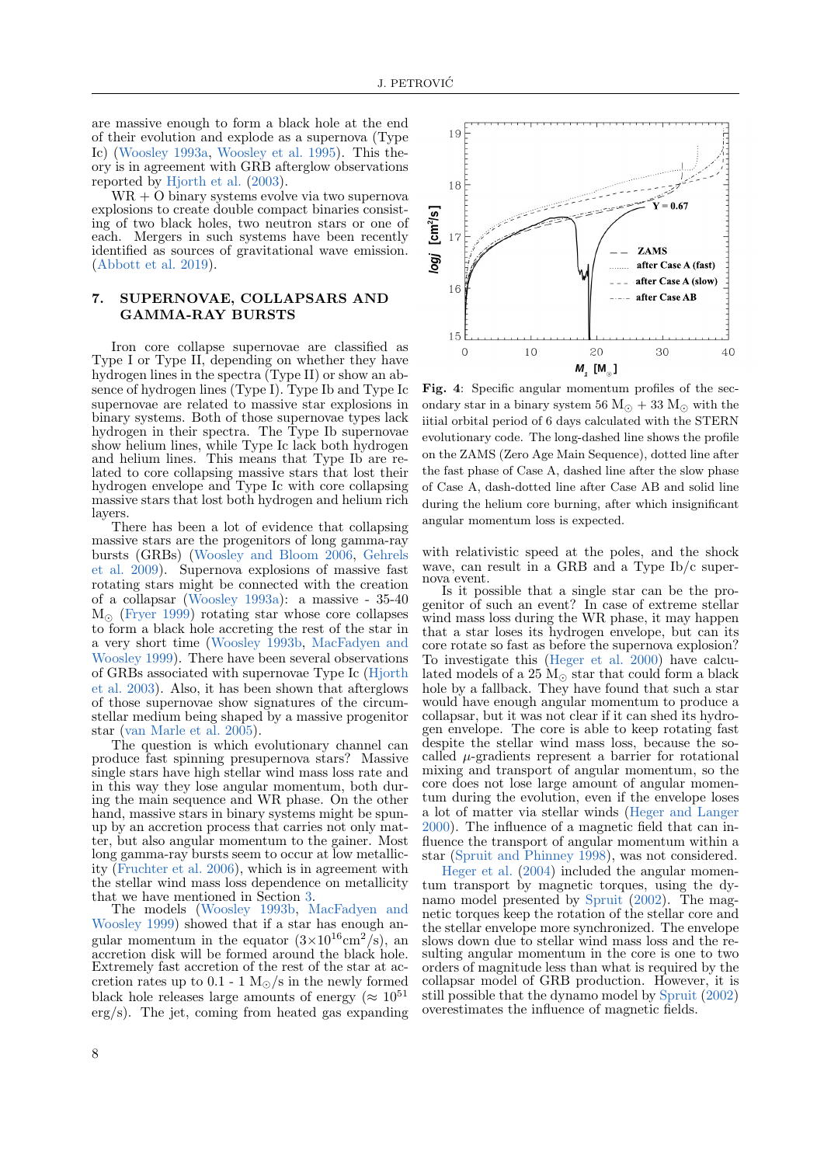are massive enough to form a black hole at the end of their evolution and explode as a supernova (Type Ic) [\(Woosley](#page-11-38) [1993a,](#page-11-38) [Woosley et al.](#page-11-39) [1995\)](#page-11-39). This theory is in agreement with GRB afterglow observations reported by [Hjorth et al.](#page-10-62) [\(2003\)](#page-10-62).

 $WR + O b$  inary systems evolve via two supernova explosions to create double compact binaries consisting of two black holes, two neutron stars or one of each. Mergers in such systems have been recently identified as sources of gravitational wave emission. [\(Abbott et al.](#page-9-4) [2019\)](#page-9-4).

## <span id="page-7-0"></span>7. SUPERNOVAE, COLLAPSARS AND GAMMA-RAY BURSTS

Iron core collapse supernovae are classified as Type I or Type II, depending on whether they have hydrogen lines in the spectra (Type II) or show an absence of hydrogen lines (Type I). Type Ib and Type Ic supernovae are related to massive star explosions in binary systems. Both of those supernovae types lack hydrogen in their spectra. The Type Ib supernovae show helium lines, while Type Ic lack both hydrogen and helium lines. This means that Type Ib are related to core collapsing massive stars that lost their hydrogen envelope and Type Ic with core collapsing massive stars that lost both hydrogen and helium rich layers.

There has been a lot of evidence that collapsing massive stars are the progenitors of long gamma-ray bursts (GRBs) [\(Woosley and Bloom](#page-11-40) [2006,](#page-11-40) [Gehrels](#page-10-63) [et al.](#page-10-63) [2009\)](#page-10-63). Supernova explosions of massive fast rotating stars might be connected with the creation of a collapsar [\(Woosley](#page-11-38) [1993a\)](#page-11-38): a massive - 35-40  $M_{\odot}$  [\(Fryer](#page-10-64) [1999\)](#page-10-64) rotating star whose core collapses to form a black hole accreting the rest of the star in a very short time [\(Woosley](#page-11-41) [1993b,](#page-11-41) [MacFadyen and](#page-10-65) [Woosley](#page-10-65) [1999\)](#page-10-65). There have been several observations of GRBs associated with supernovae Type Ic [\(Hjorth](#page-10-62) [et al.](#page-10-62) [2003\)](#page-10-62). Also, it has been shown that afterglows of those supernovae show signatures of the circumstellar medium being shaped by a massive progenitor star [\(van Marle et al.](#page-11-42) [2005\)](#page-11-42).

The question is which evolutionary channel can produce fast spinning presupernova stars? Massive single stars have high stellar wind mass loss rate and in this way they lose angular momentum, both during the main sequence and WR phase. On the other hand, massive stars in binary systems might be spunup by an accretion process that carries not only matter, but also angular momentum to the gainer. Most long gamma-ray bursts seem to occur at low metallicity [\(Fruchter et al.](#page-10-66) [2006\)](#page-10-66), which is in agreement with the stellar wind mass loss dependence on metallicity that we have mentioned in Section [3.](#page-3-0)

The models [\(Woosley](#page-11-41) [1993b,](#page-11-41) [MacFadyen and](#page-10-65) [Woosley](#page-10-65) [1999\)](#page-10-65) showed that if a star has enough angular momentum in the equator  $(3\times10^{16} \text{cm}^2/\text{s})$ , an accretion disk will be formed around the black hole. Extremely fast accretion of the rest of the star at accretion rates up to 0.1 - 1  $M_{\odot}/s$  in the newly formed black hole releases large amounts of energy ( $\approx 10^{51}$ ) erg/s). The jet, coming from heated gas expanding



Fig. 4: Specific angular momentum profiles of the secondary star in a binary system 56  $M_{\odot}$  + 33  $M_{\odot}$  with the iitial orbital period of 6 days calculated with the STERN evolutionary code. The long-dashed line shows the profile on the ZAMS (Zero Age Main Sequence), dotted line after the fast phase of Case A, dashed line after the slow phase of Case A, dash-dotted line after Case AB and solid line during the helium core burning, after which insignificant angular momentum loss is expected.

with relativistic speed at the poles, and the shock wave, can result in a GRB and a Type Ib/c supernova event.

Is it possible that a single star can be the progenitor of such an event? In case of extreme stellar wind mass loss during the WR phase, it may happen that a star loses its hydrogen envelope, but can its core rotate so fast as before the supernova explosion? To investigate this [\(Heger et al.](#page-10-40) [2000\)](#page-10-40) have calculated models of a  $25 \text{ M}_{\odot}$  star that could form a black hole by a fallback. They have found that such a star would have enough angular momentum to produce a collapsar, but it was not clear if it can shed its hydrogen envelope. The core is able to keep rotating fast despite the stellar wind mass loss, because the socalled  $\mu$ -gradients represent a barrier for rotational mixing and transport of angular momentum, so the core does not lose large amount of angular momentum during the evolution, even if the envelope loses a lot of matter via stellar winds [\(Heger and Langer](#page-10-43) [2000\)](#page-10-43). The influence of a magnetic field that can influence the transport of angular momentum within a star [\(Spruit and Phinney](#page-11-43) [1998\)](#page-11-43), was not considered.

[Heger et al.](#page-10-67) [\(2004\)](#page-10-67) included the angular momentum transport by magnetic torques, using the dynamo model presented by [Spruit](#page-11-30) [\(2002\)](#page-11-30). The magnetic torques keep the rotation of the stellar core and the stellar envelope more synchronized. The envelope slows down due to stellar wind mass loss and the resulting angular momentum in the core is one to two orders of magnitude less than what is required by the collapsar model of GRB production. However, it is still possible that the dynamo model by [Spruit](#page-11-30) [\(2002\)](#page-11-30) overestimates the influence of magnetic fields.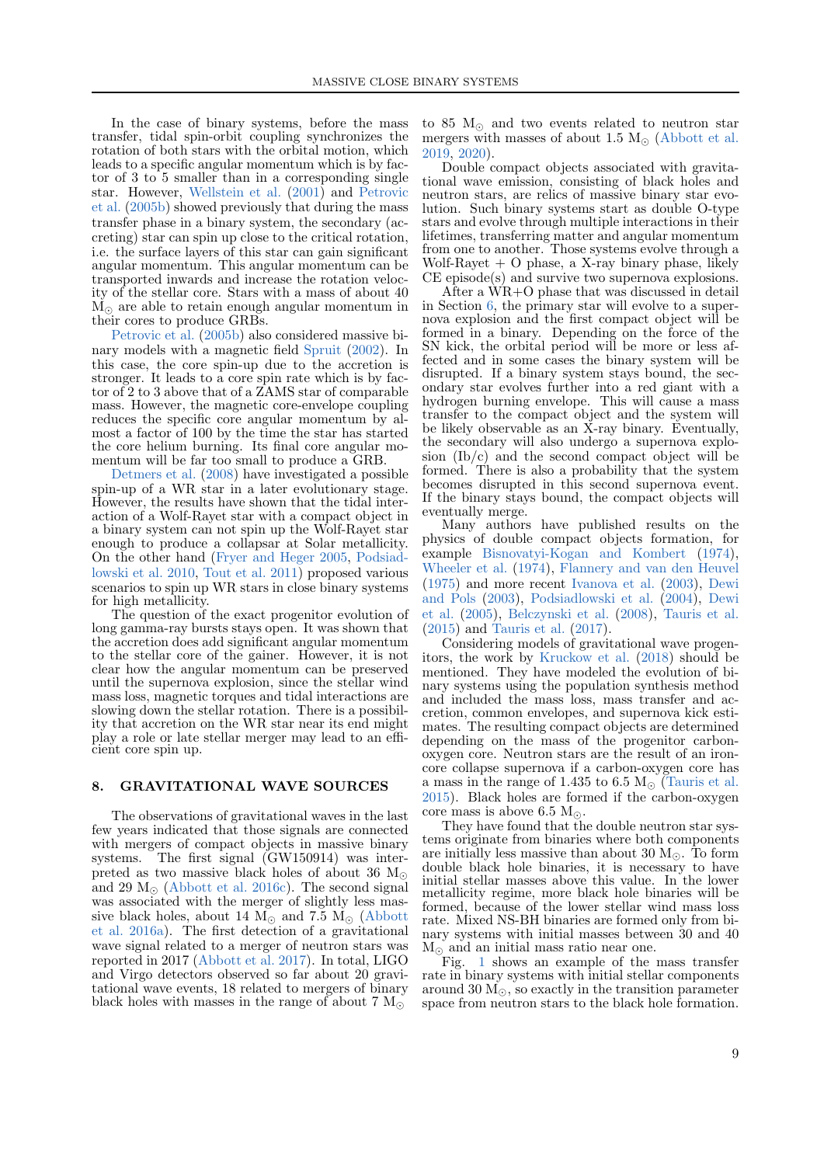In the case of binary systems, before the mass transfer, tidal spin-orbit coupling synchronizes the rotation of both stars with the orbital motion, which leads to a specific angular momentum which is by factor of 3 to 5 smaller than in a corresponding single star. However, [Wellstein et al.](#page-11-1) [\(2001\)](#page-11-1) and [Petrovic](#page-11-29) [et al.](#page-11-29) [\(2005b\)](#page-11-29) showed previously that during the mass transfer phase in a binary system, the secondary (accreting) star can spin up close to the critical rotation, i.e. the surface layers of this star can gain significant angular momentum. This angular momentum can be transported inwards and increase the rotation velocity of the stellar core. Stars with a mass of about 40  $M_{\odot}$  are able to retain enough angular momentum in their cores to produce GRBs.

[Petrovic et al.](#page-11-29) [\(2005b\)](#page-11-29) also considered massive binary models with a magnetic field [Spruit](#page-11-30) [\(2002\)](#page-11-30). In this case, the core spin-up due to the accretion is stronger. It leads to a core spin rate which is by factor of 2 to 3 above that of a ZAMS star of comparable mass. However, the magnetic core-envelope coupling reduces the specific core angular momentum by almost a factor of 100 by the time the star has started the core helium burning. Its final core angular momentum will be far too small to produce a GRB.

[Detmers et al.](#page-10-46) [\(2008\)](#page-10-46) have investigated a possible spin-up of a WR star in a later evolutionary stage. However, the results have shown that the tidal interaction of a Wolf-Rayet star with a compact object in a binary system can not spin up the Wolf-Rayet star enough to produce a collapsar at Solar metallicity. On the other hand [\(Fryer and Heger](#page-10-68) [2005,](#page-10-68) [Podsiad](#page-11-44)[lowski et al.](#page-11-44) [2010,](#page-11-44) [Tout et al.](#page-11-45) [2011\)](#page-11-45) proposed various scenarios to spin up WR stars in close binary systems for high metallicity.

The question of the exact progenitor evolution of long gamma-ray bursts stays open. It was shown that the accretion does add significant angular momentum to the stellar core of the gainer. However, it is not clear how the angular momentum can be preserved until the supernova explosion, since the stellar wind mass loss, magnetic torques and tidal interactions are slowing down the stellar rotation. There is a possibility that accretion on the WR star near its end might play a role or late stellar merger may lead to an efficient core spin up.

#### <span id="page-8-0"></span>8. GRAVITATIONAL WAVE SOURCES

The observations of gravitational waves in the last few years indicated that those signals are connected with mergers of compact objects in massive binary systems. The first signal (GW150914) was interpreted as two massive black holes of about 36  $M_{\odot}$ and 29  $M_{\odot}$  [\(Abbott et al.](#page-9-3) [2016c\)](#page-9-3). The second signal was associated with the merger of slightly less massive black holes, about 14  $\dot{M}_{\odot}$  and 7.5  $\dot{M}_{\odot}$  [\(Abbott](#page-9-1) [et al.](#page-9-1) [2016a\)](#page-9-1). The first detection of a gravitational wave signal related to a merger of neutron stars was reported in 2017 [\(Abbott et al.](#page-9-20) [2017\)](#page-9-20). In total, LIGO and Virgo detectors observed so far about 20 gravitational wave events, 18 related to mergers of binary black holes with masses in the range of about 7  $M_{\odot}$ 

to 85  $M_{\odot}$  and two events related to neutron star mergers with masses of about 1.5  $M_{\odot}$  [\(Abbott et al.](#page-9-4) [2019,](#page-9-4) [2020\)](#page-9-21).

Double compact objects associated with gravitational wave emission, consisting of black holes and neutron stars, are relics of massive binary star evolution. Such binary systems start as double O-type stars and evolve through multiple interactions in their lifetimes, transferring matter and angular momentum from one to another. Those systems evolve through a Wolf-Rayet  $+$  O phase, a X-ray binary phase, likely CE episode(s) and survive two supernova explosions.

After a WR+O phase that was discussed in detail in Section [6,](#page-6-0) the primary star will evolve to a supernova explosion and the first compact object will be formed in a binary. Depending on the force of the SN kick, the orbital period will be more or less affected and in some cases the binary system will be disrupted. If a binary system stays bound, the secondary star evolves further into a red giant with a hydrogen burning envelope. This will cause a mass transfer to the compact object and the system will be likely observable as an X-ray binary. Eventually, the secondary will also undergo a supernova explosion (Ib/c) and the second compact object will be formed. There is also a probability that the system becomes disrupted in this second supernova event. If the binary stays bound, the compact objects will eventually merge.

Many authors have published results on the physics of double compact objects formation, for example [Bisnovatyi-Kogan and Kombert](#page-9-22) [\(1974\)](#page-9-22), [Wheeler et al.](#page-11-46) [\(1974\)](#page-11-46), [Flannery and van den Heuvel](#page-10-69) [\(1975\)](#page-10-69) and more recent [Ivanova et al.](#page-10-70) [\(2003\)](#page-10-70), [Dewi](#page-10-71) [and Pols](#page-10-71) [\(2003\)](#page-10-71), [Podsiadlowski et al.](#page-11-47) [\(2004\)](#page-11-47), [Dewi](#page-10-72) [et al.](#page-10-72) [\(2005\)](#page-10-72), [Belczynski et al.](#page-9-23) [\(2008\)](#page-9-23), [Tauris et al.](#page-11-48) [\(2015\)](#page-11-48) and [Tauris et al.](#page-11-49) [\(2017\)](#page-11-49).

Considering models of gravitational wave progenitors, the work by [Kruckow et al.](#page-10-73) [\(2018\)](#page-10-73) should be mentioned. They have modeled the evolution of binary systems using the population synthesis method and included the mass loss, mass transfer and accretion, common envelopes, and supernova kick estimates. The resulting compact objects are determined depending on the mass of the progenitor carbonoxygen core. Neutron stars are the result of an ironcore collapse supernova if a carbon-oxygen core has a mass in the range of 1.435 to 6.5  $M_{\odot}$  [\(Tauris et al.](#page-11-48) [2015\)](#page-11-48). Black holes are formed if the carbon-oxygen core mass is above 6.5  $M_{\odot}$ .

They have found that the double neutron star systems originate from binaries where both components are initially less massive than about 30  $M_{\odot}$ . To form double black hole binaries, it is necessary to have initial stellar masses above this value. In the lower metallicity regime, more black hole binaries will be formed, because of the lower stellar wind mass loss rate. Mixed NS-BH binaries are formed only from binary systems with initial masses between 30 and 40  $\mathrm{M}_\odot$  and an initial mass ratio near one.

Fig. [1](#page-2-0) shows an example of the mass transfer rate in binary systems with initial stellar components around 30  $M_{\odot}$ , so exactly in the transition parameter space from neutron stars to the black hole formation.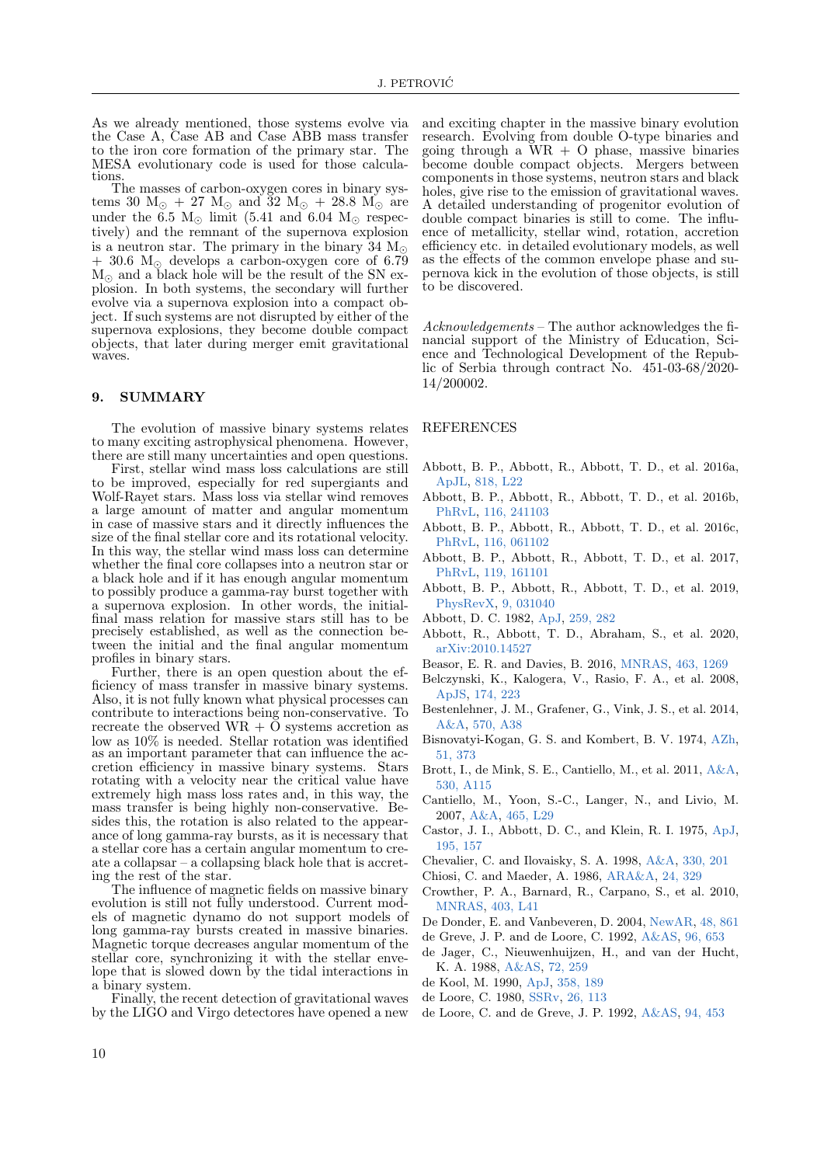As we already mentioned, those systems evolve via the Case A, Case AB and Case ABB mass transfer to the iron core formation of the primary star. The MESA evolutionary code is used for those calculations

The masses of carbon-oxygen cores in binary systems 30  $\text{M}_{\odot}$  + 27  $\text{M}_{\odot}$  and 32  $\text{M}_{\odot}$  + 28.8  $\text{M}_{\odot}$  are under the 6.5  $M_{\odot}$  limit (5.41 and 6.04  $M_{\odot}$  respectively) and the remnant of the supernova explosion is a neutron star. The primary in the binary 34  $M_{\odot}$  $+30.6$  M<sub>o</sub> develops a carbon-oxygen core of 6.79  $M_{\odot}$  and a black hole will be the result of the SN explosion. In both systems, the secondary will further evolve via a supernova explosion into a compact object. If such systems are not disrupted by either of the supernova explosions, they become double compact objects, that later during merger emit gravitational waves.

#### <span id="page-9-6"></span>9. SUMMARY

The evolution of massive binary systems relates to many exciting astrophysical phenomena. However, there are still many uncertainties and open questions.

First, stellar wind mass loss calculations are still to be improved, especially for red supergiants and Wolf-Rayet stars. Mass loss via stellar wind removes a large amount of matter and angular momentum in case of massive stars and it directly influences the size of the final stellar core and its rotational velocity. In this way, the stellar wind mass loss can determine whether the final core collapses into a neutron star or a black hole and if it has enough angular momentum to possibly produce a gamma-ray burst together with a supernova explosion. In other words, the initialfinal mass relation for massive stars still has to be precisely established, as well as the connection between the initial and the final angular momentum profiles in binary stars.

Further, there is an open question about the efficiency of mass transfer in massive binary systems. Also, it is not fully known what physical processes can contribute to interactions being non-conservative. To recreate the observed WR +  $\check{\text{O}}$  systems accretion as low as 10% is needed. Stellar rotation was identified as an important parameter that can influence the accretion efficiency in massive binary systems. Stars rotating with a velocity near the critical value have extremely high mass loss rates and, in this way, the mass transfer is being highly non-conservative. Besides this, the rotation is also related to the appearance of long gamma-ray bursts, as it is necessary that a stellar core has a certain angular momentum to create a collapsar – a collapsing black hole that is accreting the rest of the star.

The influence of magnetic fields on massive binary evolution is still not fully understood. Current models of magnetic dynamo do not support models of long gamma-ray bursts created in massive binaries. Magnetic torque decreases angular momentum of the stellar core, synchronizing it with the stellar envelope that is slowed down by the tidal interactions in a binary system.

Finally, the recent detection of gravitational waves by the LIGO and Virgo detectores have opened a new and exciting chapter in the massive binary evolution research. Evolving from double O-type binaries and going through a  $WR + O$  phase, massive binaries become double compact objects. Mergers between components in those systems, neutron stars and black holes, give rise to the emission of gravitational waves. A detailed understanding of progenitor evolution of double compact binaries is still to come. The influence of metallicity, stellar wind, rotation, accretion efficiency etc. in detailed evolutionary models, as well as the effects of the common envelope phase and supernova kick in the evolution of those objects, is still to be discovered.

Acknowledgements – The author acknowledges the financial support of the Ministry of Education, Science and Technological Development of the Republic of Serbia through contract No. 451-03-68/2020- 14/200002.

#### REFERENCES

- <span id="page-9-1"></span>Abbott, B. P., Abbott, R., Abbott, T. D., et al. 2016a, [ApJL,](https://ui.adsabs.harvard.edu/abs/2016ApJ...818L..22A) [818, L22](https://ui.adsabs.harvard.edu/abs/2016ApJ...818L..22A)
- <span id="page-9-2"></span>Abbott, B. P., Abbott, R., Abbott, T. D., et al. 2016b, [PhRvL,](https://ui.adsabs.harvard.edu/abs/2016PhRvL.116x1103A) [116, 241103](https://ui.adsabs.harvard.edu/abs/2016PhRvL.116x1103A)
- <span id="page-9-3"></span>Abbott, B. P., Abbott, R., Abbott, T. D., et al. 2016c, [PhRvL,](https://ui.adsabs.harvard.edu/abs/2016PhRvL.116f1102A) [116, 061102](https://ui.adsabs.harvard.edu/abs/2016PhRvL.116f1102A)
- <span id="page-9-20"></span>Abbott, B. P., Abbott, R., Abbott, T. D., et al. 2017, [PhRvL,](https://ui.adsabs.harvard.edu/abs/2017PhRvL.119p1101A) [119, 161101](https://ui.adsabs.harvard.edu/abs/2017PhRvL.119p1101A)
- <span id="page-9-4"></span>Abbott, B. P., Abbott, R., Abbott, T. D., et al. 2019, [PhysRevX,](https://ui.adsabs.harvard.edu/abs/2019PhRvX...9c1040A) [9, 031040](https://ui.adsabs.harvard.edu/abs/2019PhRvX...9c1040A)
- <span id="page-9-11"></span>Abbott, D. C. 1982, [ApJ,](https://ui.adsabs.harvard.edu/abs/1982ApJ...259..282A) [259, 282](https://ui.adsabs.harvard.edu/abs/1982ApJ...259..282A)
- <span id="page-9-21"></span>Abbott, R., Abbott, T. D., Abraham, S., et al. 2020, [arXiv:2010.14527](https://arxiv.org/abs/2010.14527)
- <span id="page-9-13"></span>Beasor, E. R. and Davies, B. 2016, [MNRAS,](https://ui.adsabs.harvard.edu/abs/2016MNRAS.463.1269B) [463, 1269](https://ui.adsabs.harvard.edu/abs/2016MNRAS.463.1269B)
- <span id="page-9-23"></span>Belczynski, K., Kalogera, V., Rasio, F. A., et al. 2008, [ApJS,](https://ui.adsabs.harvard.edu/abs/2008ApJS..174..223B) [174, 223](https://ui.adsabs.harvard.edu/abs/2008ApJS..174..223B)
- <span id="page-9-12"></span>Bestenlehner, J. M., Grafener, G., Vink, J. S., et al. 2014, [A&A,](https://ui.adsabs.harvard.edu/abs/2014A&A...570A..38B) [570, A38](https://ui.adsabs.harvard.edu/abs/2014A&A...570A..38B)
- <span id="page-9-22"></span>Bisnovatyi-Kogan, G. S. and Kombert, B. V. 1974, [AZh,](https://ui.adsabs.harvard.edu/abs/1974AZh....51..373B) [51, 373](https://ui.adsabs.harvard.edu/abs/1974AZh....51..373B)
- <span id="page-9-15"></span>Brott, I., de Mink, S. E., Cantiello, M., et al. 2011, [A&A,](https://ui.adsabs.harvard.edu/abs/2011A&A...530A.115B) [530, A115](https://ui.adsabs.harvard.edu/abs/2011A&A...530A.115B)
- <span id="page-9-16"></span>Cantiello, M., Yoon, S.-C., Langer, N., and Livio, M. 2007, [A&A,](https://ui.adsabs.harvard.edu/abs/2007A&A...465L..29C) [465, L29](https://ui.adsabs.harvard.edu/abs/2007A&A...465L..29C)
- <span id="page-9-10"></span>Castor, J. I., Abbott, D. C., and Klein, R. I. 1975, [ApJ,](https://ui.adsabs.harvard.edu/abs/1975ApJ...195..157C) [195, 157](https://ui.adsabs.harvard.edu/abs/1975ApJ...195..157C)
- <span id="page-9-18"></span><span id="page-9-0"></span>Chevalier, C. and Ilovaisky, S. A. 1998, [A&A,](https://ui.adsabs.harvard.edu/abs/1998A&A...330..201C) [330, 201](https://ui.adsabs.harvard.edu/abs/1998A&A...330..201C)
- Chiosi, C. and Maeder, A. 1986, [ARA&A,](https://ui.adsabs.harvard.edu/abs/1986ARA&A..24..329C) [24, 329](https://ui.adsabs.harvard.edu/abs/1986ARA&A..24..329C)
- <span id="page-9-19"></span>Crowther, P. A., Barnard, R., Carpano, S., et al. 2010, [MNRAS,](https://ui.adsabs.harvard.edu/abs/2010MNRAS.403L..41C) [403, L41](https://ui.adsabs.harvard.edu/abs/2010MNRAS.403L..41C)
- <span id="page-9-17"></span><span id="page-9-9"></span>De Donder, E. and Vanbeveren, D. 2004, [NewAR,](https://ui.adsabs.harvard.edu/abs/2004NewAR..48..861D) [48, 861](https://ui.adsabs.harvard.edu/abs/2004NewAR..48..861D)
- de Greve, J. P. and de Loore, C. 1992, [A&AS,](https://ui.adsabs.harvard.edu/abs/1992A&AS...96..653D) [96, 653](https://ui.adsabs.harvard.edu/abs/1992A&AS...96..653D)
- <span id="page-9-14"></span>de Jager, C., Nieuwenhuijzen, H., and van der Hucht, K. A. 1988, [A&AS,](https://ui.adsabs.harvard.edu/abs/1988A&AS...72..259D) [72, 259](https://ui.adsabs.harvard.edu/abs/1988A&AS...72..259D)
- <span id="page-9-7"></span><span id="page-9-5"></span>de Kool, M. 1990, [ApJ,](https://ui.adsabs.harvard.edu/abs/1990ApJ...358..189D) [358, 189](https://ui.adsabs.harvard.edu/abs/1990ApJ...358..189D)
- de Loore, C. 1980, [SSRv,](https://ui.adsabs.harvard.edu/abs/1980SSRv...26..113D) [26, 113](https://ui.adsabs.harvard.edu/abs/1980SSRv...26..113D)
- <span id="page-9-8"></span>de Loore, C. and de Greve, J. P. 1992, [A&AS,](https://ui.adsabs.harvard.edu/abs/1992A&AS...94..453D) [94, 453](https://ui.adsabs.harvard.edu/abs/1992A&AS...94..453D)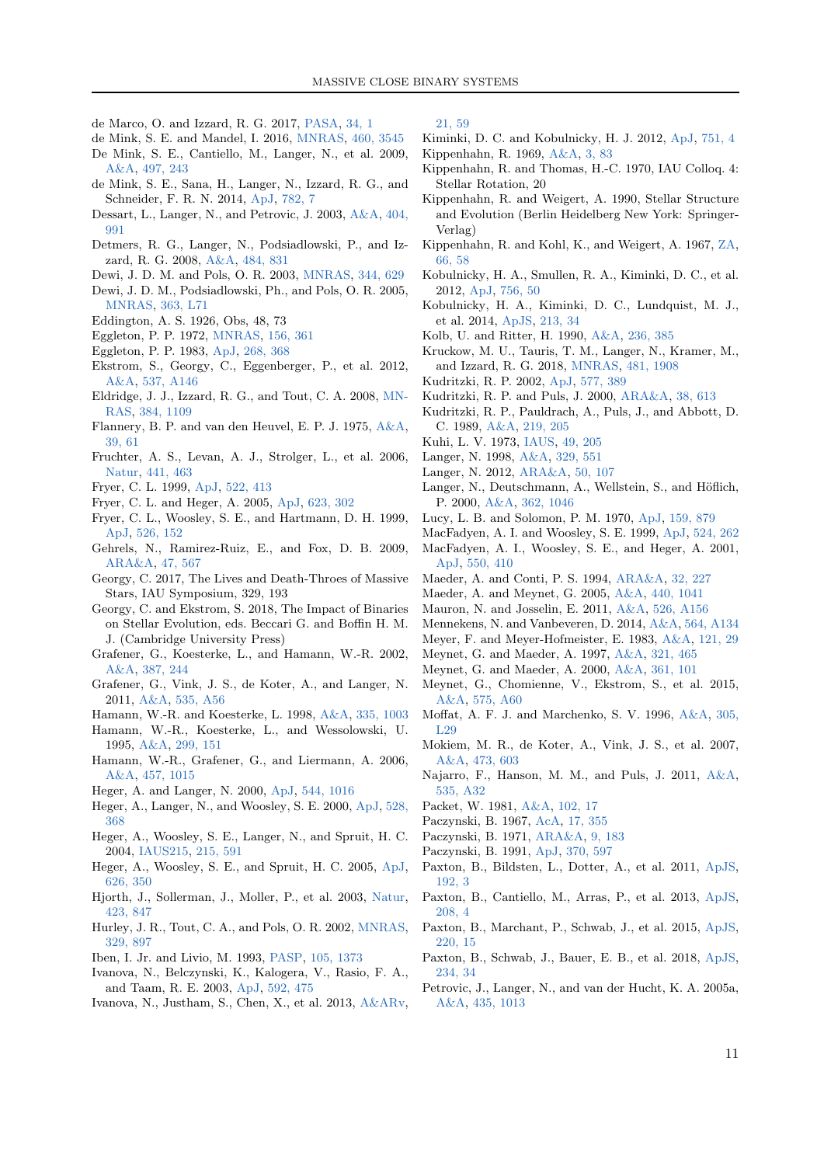- <span id="page-10-9"></span>de Marco, O. and Izzard, R. G. 2017, [PASA,](https://ui.adsabs.harvard.edu/abs/2017PASA...34....1D) [34, 1](https://ui.adsabs.harvard.edu/abs/2017PASA...34....1D)
- <span id="page-10-39"></span>de Mink, S. E. and Mandel, I. 2016, [MNRAS,](https://ui.adsabs.harvard.edu/abs/2016MNRAS.460.3545D) [460, 3545](https://ui.adsabs.harvard.edu/abs/2016MNRAS.460.3545D)
- <span id="page-10-47"></span>De Mink, S. E., Cantiello, M., Langer, N., et al. 2009, [A&A,](https://ui.adsabs.harvard.edu/abs/2009A&A...497..243D) [497, 243](https://ui.adsabs.harvard.edu/abs/2009A&A...497..243D)
- <span id="page-10-48"></span>de Mink, S. E., Sana, H., Langer, N., Izzard, R. G., and Schneider, F. R. N. 2014, [ApJ,](https://ui.adsabs.harvard.edu/abs/2014ApJ...782....7D) [782, 7](https://ui.adsabs.harvard.edu/abs/2014ApJ...782....7D)
- <span id="page-10-35"></span>Dessart, L., Langer, N., and Petrovic, J. 2003, [A&A,](https://ui.adsabs.harvard.edu/abs/2003A&A...404..991D) [404,](https://ui.adsabs.harvard.edu/abs/2003A&A...404..991D) [991](https://ui.adsabs.harvard.edu/abs/2003A&A...404..991D)
- <span id="page-10-46"></span>Detmers, R. G., Langer, N., Podsiadlowski, P., and Izzard, R. G. 2008, [A&A,](https://ui.adsabs.harvard.edu/abs/2008A&A...484..831D) [484, 831](https://ui.adsabs.harvard.edu/abs/2008A&A...484..831D)
- <span id="page-10-71"></span>Dewi, J. D. M. and Pols, O. R. 2003, [MNRAS,](https://ui.adsabs.harvard.edu/abs/2003MNRAS.344..629D) [344, 629](https://ui.adsabs.harvard.edu/abs/2003MNRAS.344..629D)
- <span id="page-10-72"></span>Dewi, J. D. M., Podsiadlowski, Ph., and Pols, O. R. 2005, [MNRAS,](https://ui.adsabs.harvard.edu/abs/2005MNRAS.363L..71D) [363, L71](https://ui.adsabs.harvard.edu/abs/2005MNRAS.363L..71D)
- <span id="page-10-36"></span>Eddington, A. S. 1926, Obs, 48, 73
- <span id="page-10-53"></span><span id="page-10-11"></span>Eggleton, P. P. 1972, [MNRAS,](https://ui.adsabs.harvard.edu/abs/1972MNRAS.156..361E) [156, 361](https://ui.adsabs.harvard.edu/abs/1972MNRAS.156..361E)
- Eggleton, P. P. 1983, [ApJ,](https://ui.adsabs.harvard.edu/abs/1983ApJ...268..368E) [268, 368](https://ui.adsabs.harvard.edu/abs/1983ApJ...268..368E)
- <span id="page-10-20"></span>Ekstrom, S., Georgy, C., Eggenberger, P., et al. 2012, [A&A,](https://ui.adsabs.harvard.edu/abs/2012A&A...537A.146E) [537, A146](https://ui.adsabs.harvard.edu/abs/2012A&A...537A.146E)
- <span id="page-10-51"></span>Eldridge, J. J., Izzard, R. G., and Tout, C. A. 2008, [MN-](https://ui.adsabs.harvard.edu/abs/2008MNRAS.384.1109E)[RAS,](https://ui.adsabs.harvard.edu/abs/2008MNRAS.384.1109E) [384, 1109](https://ui.adsabs.harvard.edu/abs/2008MNRAS.384.1109E)
- <span id="page-10-69"></span>Flannery, B. P. and van den Heuvel, E. P. J. 1975, [A&A,](https://ui.adsabs.harvard.edu/abs/1975A&A....39...61F) [39, 61](https://ui.adsabs.harvard.edu/abs/1975A&A....39...61F)
- <span id="page-10-66"></span>Fruchter, A. S., Levan, A. J., Strolger, L., et al. 2006, [Natur,](https://ui.adsabs.harvard.edu/abs/2006Natur.441..463F) [441, 463](https://ui.adsabs.harvard.edu/abs/2006Natur.441..463F)
- <span id="page-10-64"></span>Fryer, C. L. 1999, [ApJ,](https://ui.adsabs.harvard.edu/abs/1999ApJ...522..413F) [522, 413](https://ui.adsabs.harvard.edu/abs/1999ApJ...522..413F)
- <span id="page-10-68"></span>Fryer, C. L. and Heger, A. 2005, [ApJ,](https://ui.adsabs.harvard.edu/abs/2005ApJ...623..302F) [623, 302](https://ui.adsabs.harvard.edu/abs/2005ApJ...623..302F)
- <span id="page-10-6"></span>Fryer, C. L., Woosley, S. E., and Hartmann, D. H. 1999, [ApJ,](https://ui.adsabs.harvard.edu/abs/1999ApJ...526..152F) [526, 152](https://ui.adsabs.harvard.edu/abs/1999ApJ...526..152F)
- <span id="page-10-63"></span>Gehrels, N., Ramirez-Ruiz, E., and Fox, D. B. 2009, [ARA&A,](https://ui.adsabs.harvard.edu/abs/2009ARA&A..47..567G) [47, 567](https://ui.adsabs.harvard.edu/abs/2009ARA&A..47..567G)
- <span id="page-10-33"></span>Georgy, C. 2017, The Lives and Death-Throes of Massive Stars, IAU Symposium, 329, 193
- <span id="page-10-10"></span>Georgy, C. and Ekstrom, S. 2018, The Impact of Binaries on Stellar Evolution, eds. Beccari G. and Boffin H. M. J. (Cambridge University Press)
- <span id="page-10-25"></span>Grafener, G., Koesterke, L., and Hamann, W.-R. 2002, [A&A,](https://ui.adsabs.harvard.edu/abs/2002A&A...387..244G) [387, 244](https://ui.adsabs.harvard.edu/abs/2002A&A...387..244G)
- <span id="page-10-31"></span>Grafener, G., Vink, J. S., de Koter, A., and Langer, N. 2011, [A&A,](https://ui.adsabs.harvard.edu/abs/2011A&A...535A..56G) [535, A56](https://ui.adsabs.harvard.edu/abs/2011A&A...535A..56G)
- <span id="page-10-27"></span>Hamann, W.-R. and Koesterke, L. 1998, [A&A,](https://ui.adsabs.harvard.edu/abs/1998A&A...335.1003H) [335, 1003](https://ui.adsabs.harvard.edu/abs/1998A&A...335.1003H)
- <span id="page-10-26"></span>Hamann, W.-R., Koesterke, L., and Wessolowski, U. 1995, [A&A,](https://ui.adsabs.harvard.edu/abs/1995A&A...299..151H) [299, 151](https://ui.adsabs.harvard.edu/abs/1995A&A...299..151H)
- <span id="page-10-60"></span>Hamann, W.-R., Grafener, G., and Liermann, A. 2006, [A&A,](https://ui.adsabs.harvard.edu/abs/2006A&A...457.1015H) [457, 1015](https://ui.adsabs.harvard.edu/abs/2006A&A...457.1015H)
- <span id="page-10-43"></span>Heger, A. and Langer, N. 2000, [ApJ,](https://ui.adsabs.harvard.edu/abs/2000ApJ...544.1016H) [544, 1016](https://ui.adsabs.harvard.edu/abs/2000ApJ...544.1016H)
- <span id="page-10-40"></span>Heger, A., Langer, N., and Woosley, S. E. 2000, [ApJ,](https://ui.adsabs.harvard.edu/abs/2000ApJ...528..368H) [528,](https://ui.adsabs.harvard.edu/abs/2000ApJ...528..368H) [368](https://ui.adsabs.harvard.edu/abs/2000ApJ...528..368H)
- <span id="page-10-67"></span>Heger, A., Woosley, S. E., Langer, N., and Spruit, H. C. 2004, [IAUS215,](https://ui.adsabs.harvard.edu/abs/2004IAUS..215..591H) [215, 591](https://ui.adsabs.harvard.edu/abs/2004IAUS..215..591H)
- <span id="page-10-49"></span>Heger, A., Woosley, S. E., and Spruit, H. C. 2005, [ApJ,](https://ui.adsabs.harvard.edu/abs/2005ApJ...626..350H) [626, 350](https://ui.adsabs.harvard.edu/abs/2005ApJ...626..350H)
- <span id="page-10-62"></span>Hjorth, J., Sollerman, J., Moller, P., et al. 2003, [Natur,](https://ui.adsabs.harvard.edu/abs/2003Natur.423..847H) [423, 847](https://ui.adsabs.harvard.edu/abs/2003Natur.423..847H)
- <span id="page-10-3"></span>Hurley, J. R., Tout, C. A., and Pols, O. R. 2002, [MNRAS,](https://ui.adsabs.harvard.edu/abs/2002MNRAS.329..897H) [329, 897](https://ui.adsabs.harvard.edu/abs/2002MNRAS.329..897H)
- <span id="page-10-16"></span>Iben, I. Jr. and Livio, M. 1993, [PASP,](https://ui.adsabs.harvard.edu/abs/1993PASP..105.1373I) [105, 1373](https://ui.adsabs.harvard.edu/abs/1993PASP..105.1373I)
- <span id="page-10-70"></span>Ivanova, N., Belczynski, K., Kalogera, V., Rasio, F. A., and Taam, R. E. 2003, [ApJ,](https://ui.adsabs.harvard.edu/abs/2003ApJ...592..475I) [592, 475](https://ui.adsabs.harvard.edu/abs/2003ApJ...592..475I)
- <span id="page-10-18"></span>Ivanova, N., Justham, S., Chen, X., et al. 2013, [A&ARv,](https://ui.adsabs.harvard.edu/abs/2013A&ARv..21...59I)

[21, 59](https://ui.adsabs.harvard.edu/abs/2013A&ARv..21...59I)

- <span id="page-10-0"></span>Kiminki, D. C. and Kobulnicky, H. J. 2012, [ApJ,](https://ui.adsabs.harvard.edu/abs/2012ApJ...751....4K) [751, 4](https://ui.adsabs.harvard.edu/abs/2012ApJ...751....4K)
- <span id="page-10-19"></span><span id="page-10-13"></span>Kippenhahn, R. 1969, [A&A,](https://ui.adsabs.harvard.edu/abs/1969A&A.....3...83K) [3, 83](https://ui.adsabs.harvard.edu/abs/1969A&A.....3...83K)
- Kippenhahn, R. and Thomas, H.-C. 1970, IAU Colloq. 4: Stellar Rotation, 20
- <span id="page-10-52"></span>Kippenhahn, R. and Weigert, A. 1990, Stellar Structure and Evolution (Berlin Heidelberg New York: Springer-Verlag)
- <span id="page-10-4"></span>Kippenhahn, R. and Kohl, K., and Weigert, A. 1967, [ZA,](https://ui.adsabs.harvard.edu/abs/1967ZA.....66...58K) [66, 58](https://ui.adsabs.harvard.edu/abs/1967ZA.....66...58K)
- <span id="page-10-1"></span>Kobulnicky, H. A., Smullen, R. A., Kiminki, D. C., et al. 2012, [ApJ,](https://ui.adsabs.harvard.edu/abs/2012ApJ...756...50K) [756, 50](https://ui.adsabs.harvard.edu/abs/2012ApJ...756...50K)
- <span id="page-10-2"></span>Kobulnicky, H. A., Kiminki, D. C., Lundquist, M. J., et al. 2014, [ApJS,](https://ui.adsabs.harvard.edu/abs/2014ApJS..213...34K) [213, 34](https://ui.adsabs.harvard.edu/abs/2014ApJS..213...34K)
- <span id="page-10-14"></span>Kolb, U. and Ritter, H. 1990, [A&A,](https://ui.adsabs.harvard.edu/abs/1990A&A...236..385K) [236, 385](https://ui.adsabs.harvard.edu/abs/1990A&A...236..385K)
- <span id="page-10-73"></span>Kruckow, M. U., Tauris, T. M., Langer, N., Kramer, M., and Izzard, R. G. 2018, [MNRAS,](https://ui.adsabs.harvard.edu/abs/2018MNRAS.481.1908K) [481, 1908](https://ui.adsabs.harvard.edu/abs/2018MNRAS.481.1908K)
- <span id="page-10-29"></span>Kudritzki, R. P. 2002, [ApJ,](https://ui.adsabs.harvard.edu/abs/2002ApJ...577..389K) [577, 389](https://ui.adsabs.harvard.edu/abs/2002ApJ...577..389K)
- <span id="page-10-23"></span>Kudritzki, R. P. and Puls, J. 2000, [ARA&A,](https://ui.adsabs.harvard.edu/abs/2000ARA&A..38..613K) [38, 613](https://ui.adsabs.harvard.edu/abs/2000ARA&A..38..613K)
- <span id="page-10-22"></span>Kudritzki, R. P., Pauldrach, A., Puls, J., and Abbott, D. C. 1989, [A&A,](https://ui.adsabs.harvard.edu/abs/1989A&A...219..205K) [219, 205](https://ui.adsabs.harvard.edu/abs/1989A&A...219..205K)
- <span id="page-10-5"></span>Kuhi, L. V. 1973, [IAUS,](https://ui.adsabs.harvard.edu/abs/1973IAUS...49..205K) [49, 205](https://ui.adsabs.harvard.edu/abs/1973IAUS...49..205K)
- <span id="page-10-45"></span><span id="page-10-8"></span>Langer, N. 1998, [A&A,](https://ui.adsabs.harvard.edu/abs/1998A&A...329..551L) [329, 551](https://ui.adsabs.harvard.edu/abs/1998A&A...329..551L)
- Langer, N. 2012, [ARA&A,](https://ui.adsabs.harvard.edu/abs/2012ARA&A..50..107L) [50, 107](https://ui.adsabs.harvard.edu/abs/2012ARA&A..50..107L)
- <span id="page-10-42"></span>Langer, N., Deutschmann, A., Wellstein, S., and Höflich, P. 2000, [A&A,](https://ui.adsabs.harvard.edu/abs/2000A&A...362.1046L) [362, 1046](https://ui.adsabs.harvard.edu/abs/2000A&A...362.1046L)
- <span id="page-10-65"></span><span id="page-10-21"></span>Lucy, L. B. and Solomon, P. M. 1970, [ApJ,](https://ui.adsabs.harvard.edu/abs/1970ApJ...159..879L) [159, 879](https://ui.adsabs.harvard.edu/abs/1970ApJ...159..879L)
- MacFadyen, A. I. and Woosley, S. E. 1999, [ApJ,](https://ui.adsabs.harvard.edu/abs/1999ApJ...524..262M) [524, 262](https://ui.adsabs.harvard.edu/abs/1999ApJ...524..262M)
- <span id="page-10-61"></span>MacFadyen, A. I., Woosley, S. E., and Heger, A. 2001, [ApJ,](https://ui.adsabs.harvard.edu/abs/2001ApJ...550..410M) [550, 410](https://ui.adsabs.harvard.edu/abs/2001ApJ...550..410M)
- <span id="page-10-59"></span><span id="page-10-50"></span>Maeder, A. and Conti, P. S. 1994, [ARA&A,](https://ui.adsabs.harvard.edu/abs/1994ARA&A..32..227M) [32, 227](https://ui.adsabs.harvard.edu/abs/1994ARA&A..32..227M)
- <span id="page-10-32"></span>Maeder, A. and Meynet, G. 2005, [A&A,](https://ui.adsabs.harvard.edu/abs/2005A&A...440.1041M) [440, 1041](https://ui.adsabs.harvard.edu/abs/2005A&A...440.1041M)
- Mauron, N. and Josselin, E. 2011, [A&A,](https://ui.adsabs.harvard.edu/abs/2011A&A...526A.156M) [526, A156](https://ui.adsabs.harvard.edu/abs/2011A&A...526A.156M)
- <span id="page-10-54"></span>Mennekens, N. and Vanbeveren, D. 2014, [A&A,](https://ui.adsabs.harvard.edu/abs/2014A&A...564A.134M) [564, A134](https://ui.adsabs.harvard.edu/abs/2014A&A...564A.134M)
- <span id="page-10-15"></span>Meyer, F. and Meyer-Hofmeister, E. 1983, [A&A,](https://ui.adsabs.harvard.edu/abs/1983A&A...121...29M) [121, 29](https://ui.adsabs.harvard.edu/abs/1983A&A...121...29M)
- <span id="page-10-37"></span>Meynet, G. and Maeder, A. 1997, [A&A,](https://ui.adsabs.harvard.edu/abs/1997A&A...321..465M) [321, 465](https://ui.adsabs.harvard.edu/abs/1997A&A...321..465M)
- <span id="page-10-38"></span>Meynet, G. and Maeder, A. 2000, [A&A,](https://ui.adsabs.harvard.edu/abs/2000A&A...361..101M) [361, 101](https://ui.adsabs.harvard.edu/abs/2000A&A...361..101M)
- <span id="page-10-34"></span>Meynet, G., Chomienne, V., Ekstrom, S., et al. 2015, [A&A,](https://ui.adsabs.harvard.edu/abs/2015A&A...575A..60M) [575, A60](https://ui.adsabs.harvard.edu/abs/2015A&A...575A..60M)
- <span id="page-10-28"></span>Moffat, A. F. J. and Marchenko, S. V. 1996, [A&A,](https://ui.adsabs.harvard.edu/abs/1996A&A...305L..29M) [305,](https://ui.adsabs.harvard.edu/abs/1996A&A...305L..29M) [L29](https://ui.adsabs.harvard.edu/abs/1996A&A...305L..29M)
- <span id="page-10-30"></span>Mokiem, M. R., de Koter, A., Vink, J. S., et al. 2007, [A&A,](https://ui.adsabs.harvard.edu/abs/2007A&A...473..603M) [473, 603](https://ui.adsabs.harvard.edu/abs/2007A&A...473..603M)
- <span id="page-10-24"></span>Najarro, F., Hanson, M. M., and Puls, J. 2011, [A&A,](https://ui.adsabs.harvard.edu/abs/2011A&A...535A..32N) [535, A32](https://ui.adsabs.harvard.edu/abs/2011A&A...535A..32N)
- <span id="page-10-41"></span>Packet, W. 1981, [A&A,](https://ui.adsabs.harvard.edu/abs/1981A&A...102...17P) [102, 17](https://ui.adsabs.harvard.edu/abs/1981A&A...102...17P)
- <span id="page-10-17"></span>Paczynski, B. 1967, [AcA,](https://ui.adsabs.harvard.edu/abs/1967AcA....17..355P) [17, 355](https://ui.adsabs.harvard.edu/abs/1967AcA....17..355P)
- <span id="page-10-44"></span><span id="page-10-7"></span>Paczynski, B. 1971, [ARA&A,](https://ui.adsabs.harvard.edu/abs/1971ARA&A...9..183P) [9, 183](https://ui.adsabs.harvard.edu/abs/1971ARA&A...9..183P)
- Paczynski, B. 1991, [ApJ,](https://ui.adsabs.harvard.edu/abs/1991ApJ...370..597P) [370, 597](https://ui.adsabs.harvard.edu/abs/1991ApJ...370..597P)
- <span id="page-10-55"></span>Paxton, B., Bildsten, L., Dotter, A., et al. 2011, [ApJS,](https://ui.adsabs.harvard.edu/abs/2011ApJS..192....3P) [192, 3](https://ui.adsabs.harvard.edu/abs/2011ApJS..192....3P)
- <span id="page-10-56"></span>Paxton, B., Cantiello, M., Arras, P., et al. 2013, [ApJS,](https://ui.adsabs.harvard.edu/abs/2013ApJS..208....4P) [208, 4](https://ui.adsabs.harvard.edu/abs/2013ApJS..208....4P)
- <span id="page-10-57"></span>Paxton, B., Marchant, P., Schwab, J., et al. 2015, [ApJS,](https://ui.adsabs.harvard.edu/abs/2015ApJS..220...15P) [220, 15](https://ui.adsabs.harvard.edu/abs/2015ApJS..220...15P)
- <span id="page-10-58"></span>Paxton, B., Schwab, J., Bauer, E. B., et al. 2018, [ApJS,](https://ui.adsabs.harvard.edu/abs/2018ApJS..234...34P) [234, 34](https://ui.adsabs.harvard.edu/abs/2018ApJS..234...34P)
- <span id="page-10-12"></span>Petrovic, J., Langer, N., and van der Hucht, K. A. 2005a, [A&A,](https://ui.adsabs.harvard.edu/abs/2005A&A...435.1013P) [435, 1013](https://ui.adsabs.harvard.edu/abs/2005A&A...435.1013P)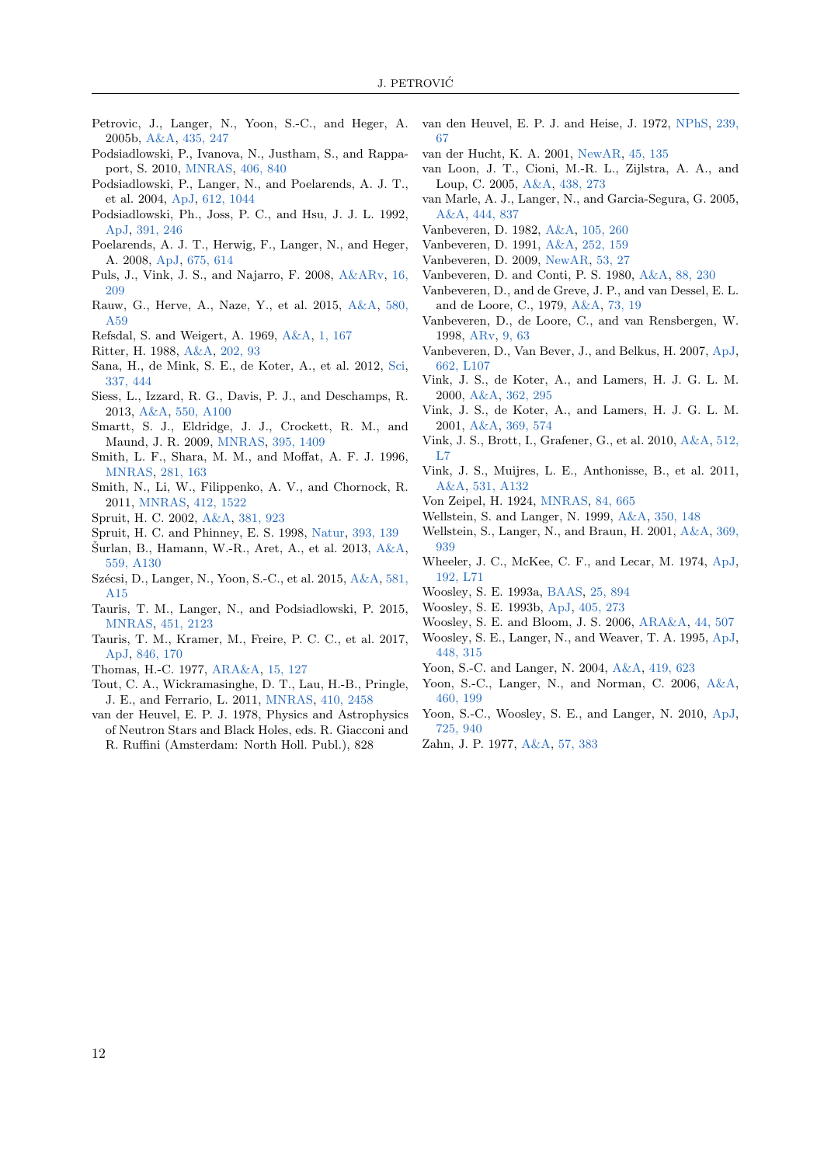- <span id="page-11-29"></span>Petrovic, J., Langer, N., Yoon, S.-C., and Heger, A. 2005b, [A&A,](https://ui.adsabs.harvard.edu/abs/2005A&A...435..247P) [435, 247](https://ui.adsabs.harvard.edu/abs/2005A&A...435..247P)
- <span id="page-11-44"></span>Podsiadlowski, P., Ivanova, N., Justham, S., and Rappaport, S. 2010, [MNRAS,](https://ui.adsabs.harvard.edu/abs/2010MNRAS.406..840P) [406, 840](https://ui.adsabs.harvard.edu/abs/2010MNRAS.406..840P)
- <span id="page-11-47"></span>Podsiadlowski, P., Langer, N., and Poelarends, A. J. T., et al. 2004, [ApJ,](https://ui.adsabs.harvard.edu/abs/2004ApJ...612.1044P) [612, 1044](https://ui.adsabs.harvard.edu/abs/2004ApJ...612.1044P)
- <span id="page-11-5"></span>Podsiadlowski, Ph., Joss, P. C., and Hsu, J. J. L. 1992, [ApJ,](https://ui.adsabs.harvard.edu/abs/1992ApJ...391..246P) [391, 246](https://ui.adsabs.harvard.edu/abs/1992ApJ...391..246P)
- <span id="page-11-0"></span>Poelarends, A. J. T., Herwig, F., Langer, N., and Heger, A. 2008, [ApJ,](https://ui.adsabs.harvard.edu/abs/2008ApJ...675..614P) [675, 614](https://ui.adsabs.harvard.edu/abs/2008ApJ...675..614P)
- <span id="page-11-18"></span>Puls, J., Vink, J. S., and Najarro, F. 2008, [A&ARv,](https://ui.adsabs.harvard.edu/abs/2008A&ARv..16..209P) [16,](https://ui.adsabs.harvard.edu/abs/2008A&ARv..16..209P) [209](https://ui.adsabs.harvard.edu/abs/2008A&ARv..16..209P)
- <span id="page-11-17"></span>Rauw, G., Herve, A., Naze, Y., et al. 2015, [A&A,](https://ui.adsabs.harvard.edu/abs/2015A&A...580A..59R) [580,](https://ui.adsabs.harvard.edu/abs/2015A&A...580A..59R) [A59](https://ui.adsabs.harvard.edu/abs/2015A&A...580A..59R)
- <span id="page-11-12"></span>Refsdal, S. and Weigert, A. 1969, [A&A,](https://ui.adsabs.harvard.edu/abs/1969A&A.....1..167R) [1, 167](https://ui.adsabs.harvard.edu/abs/1969A&A.....1..167R)
- <span id="page-11-11"></span>Ritter, H. 1988, [A&A,](https://ui.adsabs.harvard.edu/abs/1988A&A...202...93R) [202, 93](https://ui.adsabs.harvard.edu/abs/1988A&A...202...93R)
- <span id="page-11-2"></span>Sana, H., de Mink, S. E., de Koter, A., et al. 2012, [Sci,](https://ui.adsabs.harvard.edu/abs/2012Sci...337..444S) [337, 444](https://ui.adsabs.harvard.edu/abs/2012Sci...337..444S)
- <span id="page-11-35"></span>Siess, L., Izzard, R. G., Davis, P. J., and Deschamps, R. 2013, [A&A,](https://ui.adsabs.harvard.edu/abs/2013A&A...550A.100S) [550, A100](https://ui.adsabs.harvard.edu/abs/2013A&A...550A.100S)
- <span id="page-11-22"></span>Smartt, S. J., Eldridge, J. J., Crockett, R. M., and Maund, J. R. 2009, [MNRAS,](https://ui.adsabs.harvard.edu/abs/2009MNRAS.395.1409S) [395, 1409](https://ui.adsabs.harvard.edu/abs/2009MNRAS.395.1409S)
- <span id="page-11-36"></span>Smith, L. F., Shara, M. M., and Moffat, A. F. J. 1996, [MNRAS,](https://ui.adsabs.harvard.edu/abs/1996MNRAS.281..163S) [281, 163](https://ui.adsabs.harvard.edu/abs/1996MNRAS.281..163S)
- <span id="page-11-6"></span>Smith, N., Li, W., Filippenko, A. V., and Chornock, R. 2011, [MNRAS,](https://ui.adsabs.harvard.edu/abs/2011MNRAS.412.1522S) [412, 1522](https://ui.adsabs.harvard.edu/abs/2011MNRAS.412.1522S)
- <span id="page-11-30"></span>Spruit, H. C. 2002, [A&A,](https://ui.adsabs.harvard.edu/abs/2002A&A...381..923S) [381, 923](https://ui.adsabs.harvard.edu/abs/2002A&A...381..923S)
- <span id="page-11-43"></span>Spruit, H. C. and Phinney, E. S. 1998, [Natur,](https://ui.adsabs.harvard.edu/abs/1998Natur.393..139S) [393, 139](https://ui.adsabs.harvard.edu/abs/1998Natur.393..139S)
- <span id="page-11-16"></span>Šurlan, B., Hamann, W.-R., Aret, A., et al.  $2013$ ,  $A&A$ , [559, A130](https://ui.adsabs.harvard.edu/abs/2013A&A...559A.130S)
- <span id="page-11-27"></span>Szécsi, D., Langer, N., Yoon, S.-C., et al. 2015, [A&A,](https://ui.adsabs.harvard.edu/abs/2015A&A...581A..15S) [581,](https://ui.adsabs.harvard.edu/abs/2015A&A...581A..15S) [A15](https://ui.adsabs.harvard.edu/abs/2015A&A...581A..15S)
- <span id="page-11-48"></span>Tauris, T. M., Langer, N., and Podsiadlowski, P. 2015, [MNRAS,](https://ui.adsabs.harvard.edu/abs/2015MNRAS.451.2123T) [451, 2123](https://ui.adsabs.harvard.edu/abs/2015MNRAS.451.2123T)
- <span id="page-11-49"></span>Tauris, T. M., Kramer, M., Freire, P. C. C., et al. 2017, [ApJ,](https://ui.adsabs.harvard.edu/abs/2017ApJ...846..170T) [846, 170](https://ui.adsabs.harvard.edu/abs/2017ApJ...846..170T)
- <span id="page-11-7"></span>Thomas, H.-C. 1977, [ARA&A,](https://ui.adsabs.harvard.edu/abs/1977ARA&A..15..127T) [15, 127](https://ui.adsabs.harvard.edu/abs/1977ARA&A..15..127T)
- <span id="page-11-45"></span>Tout, C. A., Wickramasinghe, D. T., Lau, H.-B., Pringle, J. E., and Ferrario, L. 2011, [MNRAS,](https://ui.adsabs.harvard.edu/abs/2011MNRAS.410.2458T) [410, 2458](https://ui.adsabs.harvard.edu/abs/2011MNRAS.410.2458T)
- <span id="page-11-8"></span>van der Heuvel, E. P. J. 1978, Physics and Astrophysics of Neutron Stars and Black Holes, eds. R. Giacconi and R. Ruffini (Amsterdam: North Holl. Publ.), 828
- <span id="page-11-31"></span>van den Heuvel, E. P. J. and Heise, J. 1972, [NPhS,](https://ui.adsabs.harvard.edu/abs/1972NPhS..239...67V) [239,](https://ui.adsabs.harvard.edu/abs/1972NPhS..239...67V) [67](https://ui.adsabs.harvard.edu/abs/1972NPhS..239...67V)
- <span id="page-11-4"></span>van der Hucht, K. A. 2001, [NewAR,](https://ui.adsabs.harvard.edu/abs/2001NewAR..45..135V) [45, 135](https://ui.adsabs.harvard.edu/abs/2001NewAR..45..135V)
- <span id="page-11-20"></span>van Loon, J. T., Cioni, M.-R. L., Zijlstra, A. A., and Loup, C. 2005, [A&A,](https://ui.adsabs.harvard.edu/abs/2005A&A...438..273V) [438, 273](https://ui.adsabs.harvard.edu/abs/2005A&A...438..273V)
- <span id="page-11-42"></span>van Marle, A. J., Langer, N., and Garcia-Segura, G. 2005, [A&A,](https://ui.adsabs.harvard.edu/abs/2005A&A...444..837V) [444, 837](https://ui.adsabs.harvard.edu/abs/2005A&A...444..837V)
- <span id="page-11-33"></span>Vanbeveren, D. 1982, [A&A,](https://ui.adsabs.harvard.edu/abs/1982A&A...105..260V) [105, 260](https://ui.adsabs.harvard.edu/abs/1982A&A...105..260V)
- <span id="page-11-9"></span>Vanbeveren, D. 1991, [A&A,](https://ui.adsabs.harvard.edu/abs/1991A&A...252..159V) [252, 159](https://ui.adsabs.harvard.edu/abs/1991A&A...252..159V)
- <span id="page-11-3"></span>Vanbeveren, D. 2009, [NewAR,](https://ui.adsabs.harvard.edu/abs/2009NewAR..53...27V) [53, 27](https://ui.adsabs.harvard.edu/abs/2009NewAR..53...27V)
- <span id="page-11-37"></span>Vanbeveren, D. and Conti, P. S. 1980, [A&A,](https://ui.adsabs.harvard.edu/abs/1980A&A....88..230V) [88, 230](https://ui.adsabs.harvard.edu/abs/1980A&A....88..230V)
- <span id="page-11-32"></span>Vanbeveren, D., and de Greve, J. P., and van Dessel, E. L. and de Loore, C., 1979, [A&A,](https://ui.adsabs.harvard.edu/abs/1979A&A....73...19V) [73, 19](https://ui.adsabs.harvard.edu/abs/1979A&A....73...19V)
- <span id="page-11-10"></span>Vanbeveren, D., de Loore, C., and van Rensbergen, W. 1998, [ARv,](https://ui.adsabs.harvard.edu/abs/1998A&ARv...9...63V) [9, 63](https://ui.adsabs.harvard.edu/abs/1998A&ARv...9...63V)
- <span id="page-11-21"></span>Vanbeveren, D., Van Bever, J., and Belkus, H. 2007, [ApJ,](https://ui.adsabs.harvard.edu/abs/2007ApJ...662L.107V) [662, L107](https://ui.adsabs.harvard.edu/abs/2007ApJ...662L.107V)
- <span id="page-11-14"></span>Vink, J. S., de Koter, A., and Lamers, H. J. G. L. M. 2000, [A&A,](https://ui.adsabs.harvard.edu/abs/2000A&A...362..295V) [362, 295](https://ui.adsabs.harvard.edu/abs/2000A&A...362..295V)
- <span id="page-11-15"></span>Vink, J. S., de Koter, A., and Lamers, H. J. G. L. M. 2001, [A&A,](https://ui.adsabs.harvard.edu/abs/2001A&A...369..574V) [369, 574](https://ui.adsabs.harvard.edu/abs/2001A&A...369..574V)
- <span id="page-11-25"></span>Vink, J. S., Brott, I., Grafener, G., et al. 2010, [A&A,](https://ui.adsabs.harvard.edu/abs/2010A&A...512L...7V) [512,](https://ui.adsabs.harvard.edu/abs/2010A&A...512L...7V) [L7](https://ui.adsabs.harvard.edu/abs/2010A&A...512L...7V)
- <span id="page-11-19"></span>Vink, J. S., Muijres, L. E., Anthonisse, B., et al. 2011, [A&A,](https://ui.adsabs.harvard.edu/abs/2011A&A...531A.132V) [531, A132](https://ui.adsabs.harvard.edu/abs/2011A&A...531A.132V)
- <span id="page-11-23"></span>Von Zeipel, H. 1924, [MNRAS,](https://ui.adsabs.harvard.edu/abs/1924MNRAS..84..665V) [84, 665](https://ui.adsabs.harvard.edu/abs/1924MNRAS..84..665V)
- <span id="page-11-13"></span>Wellstein, S. and Langer, N. 1999, [A&A,](https://ui.adsabs.harvard.edu/abs/1999A&A...350..148W) [350, 148](https://ui.adsabs.harvard.edu/abs/1999A&A...350..148W)
- <span id="page-11-1"></span>Wellstein, S., Langer, N., and Braun, H. 2001, [A&A,](https://ui.adsabs.harvard.edu/abs/2001A&A...369..939W) [369,](https://ui.adsabs.harvard.edu/abs/2001A&A...369..939W) [939](https://ui.adsabs.harvard.edu/abs/2001A&A...369..939W)
- <span id="page-11-46"></span>Wheeler, J. C., McKee, C. F., and Lecar, M. 1974, [ApJ,](https://ui.adsabs.harvard.edu/abs/1974ApJ...192L..71W) [192, L71](https://ui.adsabs.harvard.edu/abs/1974ApJ...192L..71W)
- <span id="page-11-38"></span>Woosley, S. E. 1993a, [BAAS,](https://ui.adsabs.harvard.edu/abs/1993AAS...182.5505W) [25, 894](https://ui.adsabs.harvard.edu/abs/1993AAS...182.5505W)
- <span id="page-11-41"></span>Woosley, S. E. 1993b, [ApJ,](https://ui.adsabs.harvard.edu/abs/1993ApJ...405..273W) [405, 273](https://ui.adsabs.harvard.edu/abs/1993ApJ...405..273W)
- <span id="page-11-40"></span><span id="page-11-39"></span>Woosley, S. E. and Bloom, J. S. 2006, [ARA&A,](https://ui.adsabs.harvard.edu/abs/2006ARA&A..44..507W) [44, 507](https://ui.adsabs.harvard.edu/abs/2006ARA&A..44..507W)
- Woosley, S. E., Langer, N., and Weaver, T. A. 1995, [ApJ,](https://ui.adsabs.harvard.edu/abs/1995ApJ...448..315W) [448, 315](https://ui.adsabs.harvard.edu/abs/1995ApJ...448..315W)
- <span id="page-11-28"></span>Yoon, S.-C. and Langer, N. 2004, [A&A,](https://ui.adsabs.harvard.edu/abs/2004A&A...419..623Y) [419, 623](https://ui.adsabs.harvard.edu/abs/2004A&A...419..623Y)
- <span id="page-11-26"></span>Yoon, S.-C., Langer, N., and Norman, C. 2006, [A&A,](https://ui.adsabs.harvard.edu/abs/2006A&A...460..199Y) [460, 199](https://ui.adsabs.harvard.edu/abs/2006A&A...460..199Y)
- <span id="page-11-34"></span>Yoon, S.-C., Woosley, S. E., and Langer, N. 2010, [ApJ,](https://ui.adsabs.harvard.edu/abs/2010ApJ...725..940Y) [725, 940](https://ui.adsabs.harvard.edu/abs/2010ApJ...725..940Y)
- <span id="page-11-24"></span>Zahn, J. P. 1977, [A&A,](https://ui.adsabs.harvard.edu/abs/1977A&A....57..383Z) [57, 383](https://ui.adsabs.harvard.edu/abs/1977A&A....57..383Z)